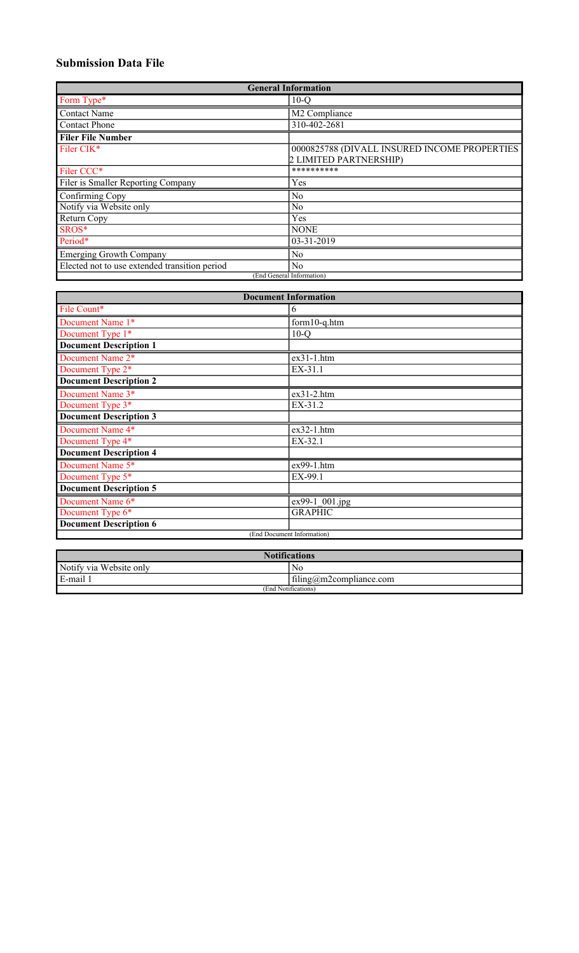# **Submission Data File**

| <b>General Information</b>                    |                                              |  |  |  |  |
|-----------------------------------------------|----------------------------------------------|--|--|--|--|
| Form Type*                                    | $10-Q$                                       |  |  |  |  |
| <b>Contact Name</b>                           | M2 Compliance                                |  |  |  |  |
| <b>Contact Phone</b>                          | 310-402-2681                                 |  |  |  |  |
| <b>Filer File Number</b>                      |                                              |  |  |  |  |
| Filer CIK*                                    | 0000825788 (DIVALL INSURED INCOME PROPERTIES |  |  |  |  |
|                                               | 2 LIMITED PARTNERSHIP)                       |  |  |  |  |
| Filer CCC*                                    | **********                                   |  |  |  |  |
| Filer is Smaller Reporting Company            | Yes                                          |  |  |  |  |
| Confirming Copy                               | No                                           |  |  |  |  |
| Notify via Website only                       | No                                           |  |  |  |  |
| Return Copy                                   | Yes                                          |  |  |  |  |
| SROS*                                         | <b>NONE</b>                                  |  |  |  |  |
| Period*                                       | 03-31-2019                                   |  |  |  |  |
| <b>Emerging Growth Company</b>                | N <sub>0</sub>                               |  |  |  |  |
| Elected not to use extended transition period | N <sub>o</sub>                               |  |  |  |  |
|                                               | (End General Information)                    |  |  |  |  |

| <b>Document Information</b>   |                            |  |  |  |
|-------------------------------|----------------------------|--|--|--|
| File Count*                   | 6                          |  |  |  |
| Document Name 1*              | form10-q.htm               |  |  |  |
| Document Type 1*              | $10-Q$                     |  |  |  |
| <b>Document Description 1</b> |                            |  |  |  |
| Document Name 2*              | $ex31-1.htm$               |  |  |  |
| Document Type 2*              | EX-31.1                    |  |  |  |
| <b>Document Description 2</b> |                            |  |  |  |
| Document Name 3*              | $ex31-2.htm$               |  |  |  |
| Document Type $3*$            | EX-31.2                    |  |  |  |
| <b>Document Description 3</b> |                            |  |  |  |
| Document Name 4*              | $ex32-1.htm$               |  |  |  |
| Document Type 4*              | EX-32.1                    |  |  |  |
| <b>Document Description 4</b> |                            |  |  |  |
| Document Name 5*              | $ex99-1.htm$               |  |  |  |
| Document Type 5*              | EX-99.1                    |  |  |  |
| <b>Document Description 5</b> |                            |  |  |  |
| Document Name 6*              | ex99-1 001.jpg             |  |  |  |
| Document Type 6*              | <b>GRAPHIC</b>             |  |  |  |
| <b>Document Description 6</b> |                            |  |  |  |
|                               | (End Document Information) |  |  |  |

| <b>Notifications</b>                |  |  |  |  |
|-------------------------------------|--|--|--|--|
| Notify via Website only<br>No       |  |  |  |  |
| filing@m2compliance.com<br>E-mail 1 |  |  |  |  |
| (End Notifications)                 |  |  |  |  |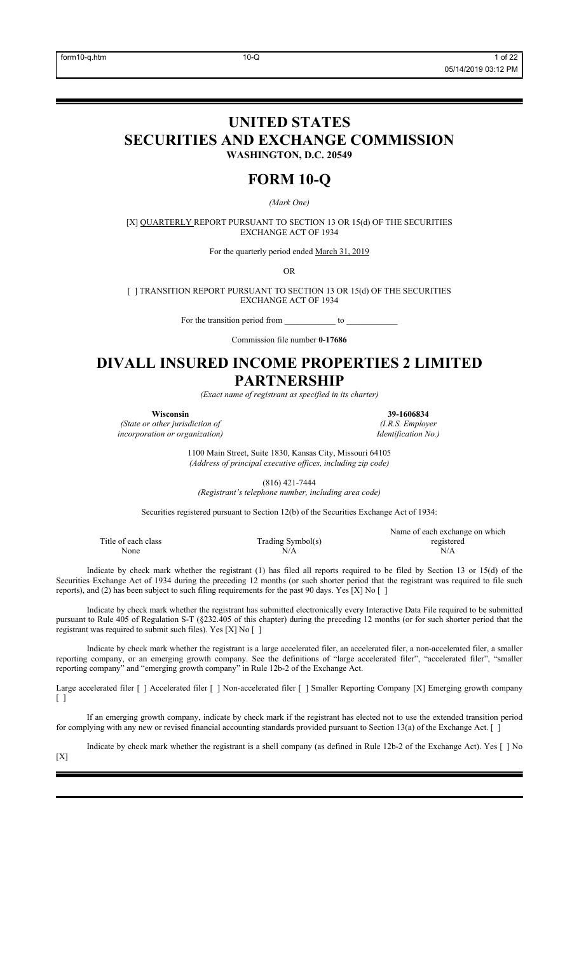# **UNITED STATES**

**SECURITIES AND EXCHANGE COMMISSION**

**WASHINGTON, D.C. 20549**

# **FORM 10-Q**

*(Mark One)*

[X] QUARTERLY REPORT PURSUANT TO SECTION 13 OR 15(d) OF THE SECURITIES EXCHANGE ACT OF 1934

For the quarterly period ended March 31, 2019

OR

[ ] TRANSITION REPORT PURSUANT TO SECTION 13 OR 15(d) OF THE SECURITIES EXCHANGE ACT OF 1934

For the transition period from to  $\sim$ 

Commission file number **0-17686**

# **DIVALL INSURED INCOME PROPERTIES 2 LIMITED PARTNERSHIP**

*(Exact name of registrant as specified in its charter)*

*(State or other jurisdiction of incorporation or organization)*

**Wisconsin 39-1606834** *(I.R.S. Employer Identification No.)*

> 1100 Main Street, Suite 1830, Kansas City, Missouri 64105 *(Address of principal executive offices, including zip code)*

> > (816) 421-7444

*(Registrant's telephone number, including area code)*

Securities registered pursuant to Section 12(b) of the Securities Exchange Act of 1934:

Title of each class Trading Symbol(s) None  $N/A$  N/A  $N/A$ 

Name of each exchange on which registered

Indicate by check mark whether the registrant (1) has filed all reports required to be filed by Section 13 or 15(d) of the Securities Exchange Act of 1934 during the preceding 12 months (or such shorter period that the registrant was required to file such reports), and (2) has been subject to such filing requirements for the past 90 days. Yes [X] No [ ]

Indicate by check mark whether the registrant has submitted electronically every Interactive Data File required to be submitted pursuant to Rule 405 of Regulation S-T (§232.405 of this chapter) during the preceding 12 months (or for such shorter period that the registrant was required to submit such files). Yes [X] No [ ]

Indicate by check mark whether the registrant is a large accelerated filer, an accelerated filer, a non-accelerated filer, a smaller reporting company, or an emerging growth company. See the definitions of "large accelerated filer", "accelerated filer", "smaller reporting company" and "emerging growth company" in Rule 12b-2 of the Exchange Act.

Large accelerated filer [ ] Accelerated filer [ ] Non-accelerated filer [ ] Smaller Reporting Company [X] Emerging growth company  $\lceil$   $\rceil$ 

If an emerging growth company, indicate by check mark if the registrant has elected not to use the extended transition period for complying with any new or revised financial accounting standards provided pursuant to Section 13(a) of the Exchange Act. [ ]

Indicate by check mark whether the registrant is a shell company (as defined in Rule 12b-2 of the Exchange Act). Yes [ ] No

 $[X]$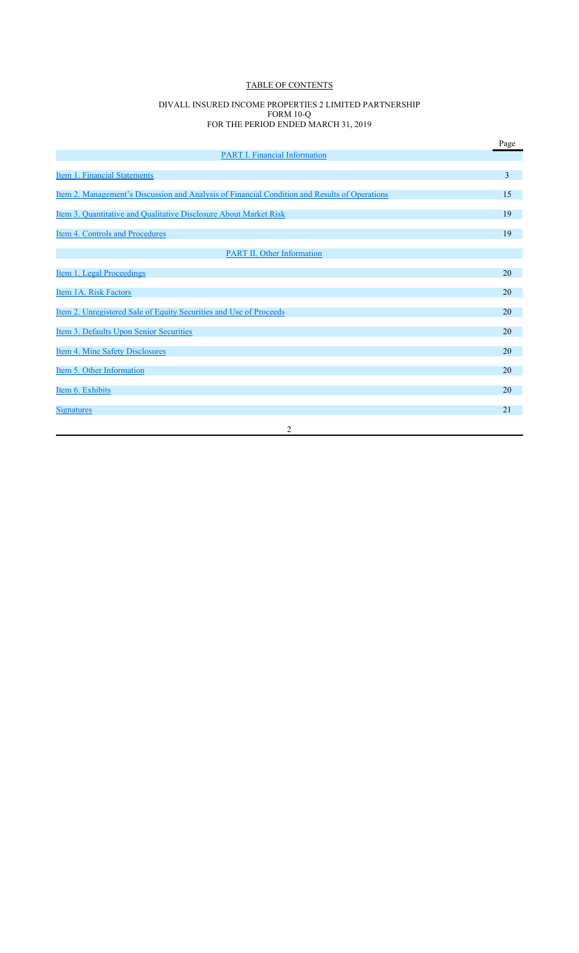# TABLE OF CONTENTS

#### DIVALL INSURED INCOME PROPERTIES 2 LIMITED PARTNERSHIP FORM 10-Q FOR THE PERIOD ENDED MARCH 31, 2019

|                                                                                                      | Page           |
|------------------------------------------------------------------------------------------------------|----------------|
| <b>PART I. Financial Information</b>                                                                 |                |
| Item 1. Financial Statements                                                                         | $\overline{3}$ |
| <u>Item 2. Management's Discussion and Analysis of Financial Condition and Results of Operations</u> | 15             |
| Item 3. Quantitative and Qualitative Disclosure About Market Risk                                    | 19             |
| Item 4. Controls and Procedures                                                                      | 19             |
| <b>PART II. Other Information</b>                                                                    |                |
| Item 1. Legal Proceedings                                                                            | 20             |
| Item 1A. Risk Factors                                                                                | 20             |
| Item 2. Unregistered Sale of Equity Securities and Use of Proceeds                                   | 20             |
| Item 3. Defaults Upon Senior Securities                                                              | 20             |
| Item 4. Mine Safety Disclosures                                                                      | 20             |
| Item 5. Other Information                                                                            | 20             |
| Item 6. Exhibits                                                                                     | 20             |
| Signatures                                                                                           | 21             |
| $\overline{2}$                                                                                       |                |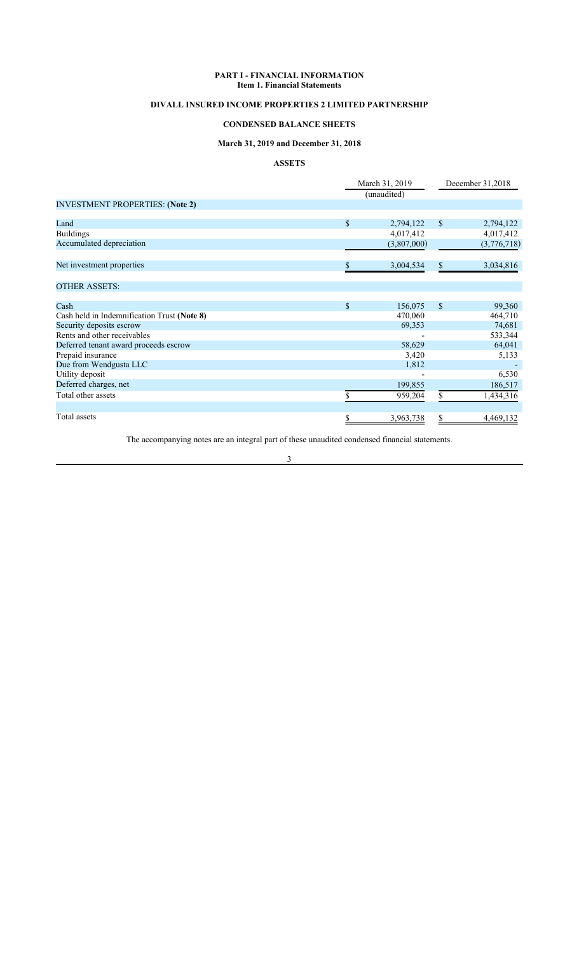### **PART I - FINANCIAL INFORMATION Item 1. Financial Statements**

### **DIVALL INSURED INCOME PROPERTIES 2 LIMITED PARTNERSHIP**

# **CONDENSED BALANCE SHEETS**

### **March 31, 2019 and December 31, 2018**

### **ASSETS**

|                                             | March 31, 2019 |             | December 31,2018 |             |  |
|---------------------------------------------|----------------|-------------|------------------|-------------|--|
|                                             |                | (unaudited) |                  |             |  |
| <b>INVESTMENT PROPERTIES: (Note 2)</b>      |                |             |                  |             |  |
|                                             |                |             |                  |             |  |
| Land                                        | \$             | 2,794,122   | \$               | 2,794,122   |  |
| <b>Buildings</b>                            |                | 4,017,412   |                  | 4,017,412   |  |
| Accumulated depreciation                    |                | (3,807,000) |                  | (3,776,718) |  |
|                                             |                |             |                  |             |  |
| Net investment properties                   | <sup>\$</sup>  | 3,004,534   | \$               | 3,034,816   |  |
| <b>OTHER ASSETS:</b>                        |                |             |                  |             |  |
| Cash                                        | \$             | 156,075     | $\mathcal{S}$    | 99,360      |  |
| Cash held in Indemnification Trust (Note 8) |                | 470,060     |                  | 464,710     |  |
| Security deposits escrow                    |                | 69,353      |                  | 74,681      |  |
| Rents and other receivables                 |                |             |                  | 533,344     |  |
| Deferred tenant award proceeds escrow       |                | 58,629      |                  | 64,041      |  |
| Prepaid insurance                           |                | 3,420       |                  | 5,133       |  |
| Due from Wendgusta LLC                      |                | 1,812       |                  |             |  |
| Utility deposit                             |                |             |                  | 6,530       |  |
| Deferred charges, net                       |                | 199,855     |                  | 186,517     |  |
| Total other assets                          |                | 959,204     | \$               | 1,434,316   |  |
|                                             |                |             |                  |             |  |
| Total assets                                | \$             | 3,963,738   | \$               | 4,469,132   |  |

The accompanying notes are an integral part of these unaudited condensed financial statements.

# 3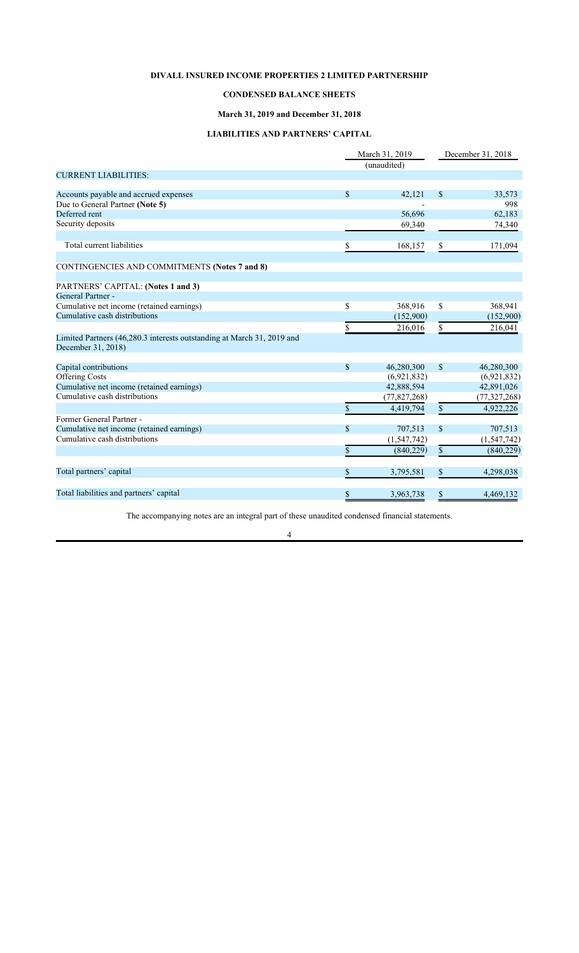### **CONDENSED BALANCE SHEETS**

### **March 31, 2019 and December 31, 2018**

### **LIABILITIES AND PARTNERS' CAPITAL**

|                                                                                              |               | March 31, 2019<br>(unaudited) | December 31, 2018 |                |  |
|----------------------------------------------------------------------------------------------|---------------|-------------------------------|-------------------|----------------|--|
| <b>CURRENT LIABILITIES:</b>                                                                  |               |                               |                   |                |  |
| Accounts payable and accrued expenses                                                        | $\mathcal{S}$ | 42,121                        | $\mathcal{S}$     | 33,573         |  |
| Due to General Partner (Note 5)                                                              |               |                               |                   | 998            |  |
| Deferred rent                                                                                |               | 56,696                        |                   | 62,183         |  |
| Security deposits                                                                            |               | 69,340                        |                   | 74,340         |  |
| Total current liabilities                                                                    | S             | 168,157                       | \$                | 171,094        |  |
| CONTINGENCIES AND COMMITMENTS (Notes 7 and 8)                                                |               |                               |                   |                |  |
| PARTNERS' CAPITAL: (Notes 1 and 3)                                                           |               |                               |                   |                |  |
| General Partner -                                                                            |               |                               |                   |                |  |
| Cumulative net income (retained earnings)                                                    | \$            | 368,916                       | \$                | 368,941        |  |
| Cumulative cash distributions                                                                |               | (152,900)                     |                   | (152,900)      |  |
|                                                                                              | \$            | 216,016                       | \$                | 216,041        |  |
| Limited Partners (46,280.3 interests outstanding at March 31, 2019 and<br>December 31, 2018) |               |                               |                   |                |  |
| Capital contributions                                                                        | $\mathbf S$   | 46,280,300                    | $\mathbf S$       | 46,280,300     |  |
| <b>Offering Costs</b>                                                                        |               | (6,921,832)                   |                   | (6,921,832)    |  |
| Cumulative net income (retained earnings)                                                    |               | 42,888,594                    |                   | 42,891,026     |  |
| Cumulative cash distributions                                                                |               | (77, 827, 268)                |                   | (77, 327, 268) |  |
|                                                                                              | \$            | 4,419,794                     | \$                | 4,922,226      |  |
| Former General Partner -                                                                     |               |                               |                   |                |  |
| Cumulative net income (retained earnings)                                                    | \$            | 707,513                       | $\mathbf S$       | 707,513        |  |
| Cumulative cash distributions                                                                |               | (1, 547, 742)                 |                   | (1, 547, 742)  |  |
|                                                                                              | S             | (840, 229)                    | \$                | (840, 229)     |  |
| Total partners' capital                                                                      | \$            | 3,795,581                     | \$                | 4,298,038      |  |
| Total liabilities and partners' capital                                                      | \$            | 3,963,738                     | \$                | 4,469,132      |  |
|                                                                                              |               |                               |                   |                |  |

The accompanying notes are an integral part of these unaudited condensed financial statements.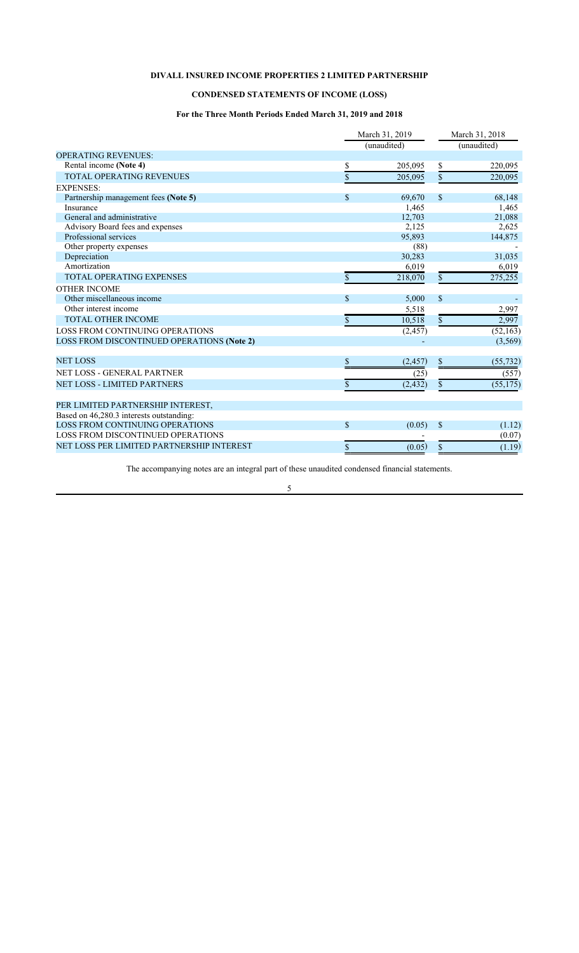# **CONDENSED STATEMENTS OF INCOME (LOSS)**

# **For the Three Month Periods Ended March 31, 2019 and 2018**

|                                            | March 31, 2019     |             | March 31, 2018 |             |  |
|--------------------------------------------|--------------------|-------------|----------------|-------------|--|
|                                            |                    | (unaudited) |                | (unaudited) |  |
| <b>OPERATING REVENUES:</b>                 |                    |             |                |             |  |
| Rental income (Note 4)                     | \$                 | 205,095     | \$             | 220,095     |  |
| TOTAL OPERATING REVENUES                   | \$                 | 205,095     | \$             | 220,095     |  |
| <b>EXPENSES:</b>                           |                    |             |                |             |  |
| Partnership management fees (Note 5)       | $\mathbb{S}$       | 69,670      | $\mathcal{S}$  | 68,148      |  |
| Insurance                                  |                    | 1,465       |                | 1,465       |  |
| General and administrative                 |                    | 12,703      |                | 21,088      |  |
| Advisory Board fees and expenses           |                    | 2,125       |                | 2,625       |  |
| Professional services                      |                    | 95,893      |                | 144,875     |  |
| Other property expenses                    |                    | (88)        |                |             |  |
| Depreciation                               |                    | 30,283      |                | 31,035      |  |
| Amortization                               |                    | 6,019       |                | 6,019       |  |
| <b>TOTAL OPERATING EXPENSES</b>            | $\mathcal{S}$      | 218,070     | \$             | 275,255     |  |
| <b>OTHER INCOME</b>                        |                    |             |                |             |  |
| Other miscellaneous income                 | $\mathcal{S}$      | 5,000       | $\mathcal{S}$  |             |  |
| Other interest income                      |                    | 5,518       |                | 2,997       |  |
| <b>TOTAL OTHER INCOME</b>                  | \$                 | 10,518      | $\mathcal{S}$  | 2,997       |  |
| <b>LOSS FROM CONTINUING OPERATIONS</b>     |                    | (2, 457)    |                | (52, 163)   |  |
| LOSS FROM DISCONTINUED OPERATIONS (Note 2) |                    |             |                | (3,569)     |  |
| <b>NET LOSS</b>                            | \$                 | (2, 457)    | \$             | (55, 732)   |  |
| NET LOSS - GENERAL PARTNER                 |                    |             |                |             |  |
| <b>NET LOSS - LIMITED PARTNERS</b>         |                    | (25)        |                | (557)       |  |
|                                            |                    | (2, 432)    | \$             | (55, 175)   |  |
| PER LIMITED PARTNERSHIP INTEREST,          |                    |             |                |             |  |
| Based on 46,280.3 interests outstanding:   |                    |             |                |             |  |
| <b>LOSS FROM CONTINUING OPERATIONS</b>     | $\mathbf{\hat{S}}$ | (0.05)      | \$             | (1.12)      |  |
| <b>LOSS FROM DISCONTINUED OPERATIONS</b>   |                    |             |                | (0.07)      |  |
| NET LOSS PER LIMITED PARTNERSHIP INTEREST  | \$                 | (0.05)      | $\mathbb{S}$   | (1.19)      |  |

The accompanying notes are an integral part of these unaudited condensed financial statements.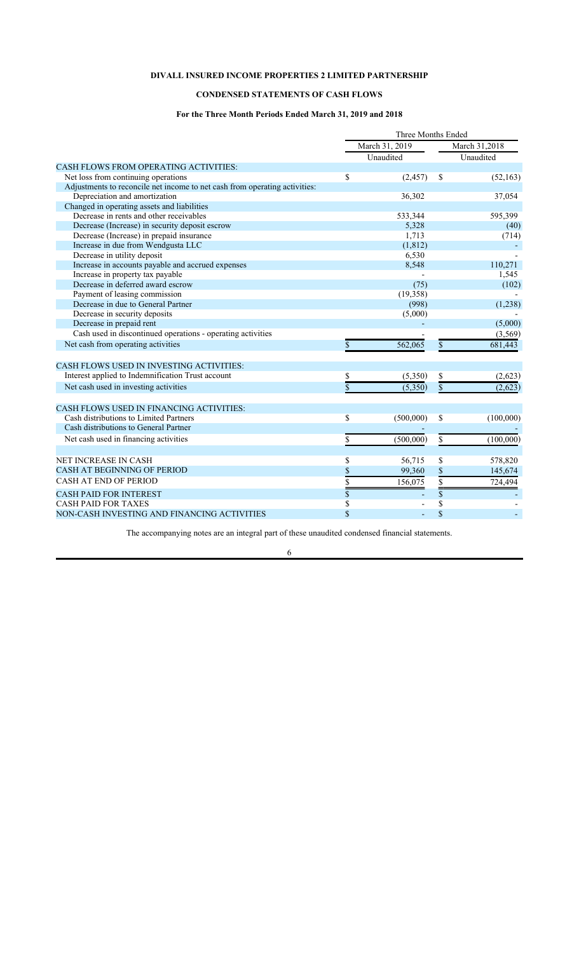# **CONDENSED STATEMENTS OF CASH FLOWS**

# **For the Three Month Periods Ended March 31, 2019 and 2018**

|                                                                            | Three Months Ended      |           |                         |               |  |  |
|----------------------------------------------------------------------------|-------------------------|-----------|-------------------------|---------------|--|--|
|                                                                            | March 31, 2019          |           |                         | March 31,2018 |  |  |
|                                                                            | Unaudited               |           |                         | Unaudited     |  |  |
| CASH FLOWS FROM OPERATING ACTIVITIES:                                      |                         |           |                         |               |  |  |
| Net loss from continuing operations                                        | \$                      | (2, 457)  | \$                      | (52, 163)     |  |  |
| Adjustments to reconcile net income to net cash from operating activities: |                         |           |                         |               |  |  |
| Depreciation and amortization                                              |                         | 36,302    |                         | 37,054        |  |  |
| Changed in operating assets and liabilities                                |                         |           |                         |               |  |  |
| Decrease in rents and other receivables                                    |                         | 533,344   |                         | 595,399       |  |  |
| Decrease (Increase) in security deposit escrow                             |                         | 5,328     |                         | (40)          |  |  |
| Decrease (Increase) in prepaid insurance                                   |                         | 1.713     |                         | (714)         |  |  |
| Increase in due from Wendgusta LLC                                         |                         | (1, 812)  |                         |               |  |  |
| Decrease in utility deposit                                                |                         | 6,530     |                         |               |  |  |
| Increase in accounts payable and accrued expenses                          |                         | 8,548     |                         | 110,271       |  |  |
| Increase in property tax payable                                           |                         |           |                         | 1,545         |  |  |
| Decrease in deferred award escrow                                          |                         | (75)      |                         | (102)         |  |  |
| Payment of leasing commission                                              |                         | (19, 358) |                         |               |  |  |
| Decrease in due to General Partner                                         |                         | (998)     |                         | (1,238)       |  |  |
| Decrease in security deposits                                              |                         | (5,000)   |                         |               |  |  |
| Decrease in prepaid rent                                                   |                         |           |                         | (5,000)       |  |  |
| Cash used in discontinued operations - operating activities                |                         |           |                         | (3,569)       |  |  |
| Net cash from operating activities                                         | \$                      | 562,065   | \$                      | 681,443       |  |  |
|                                                                            |                         |           |                         |               |  |  |
| CASH FLOWS USED IN INVESTING ACTIVITIES:                                   |                         |           |                         |               |  |  |
| Interest applied to Indemnification Trust account                          | \$                      | (5,350)   | \$                      | (2,623)       |  |  |
| Net cash used in investing activities                                      | $\hat{\mathbf{S}}$      | (5,350)   | $\overline{\mathbf{s}}$ | (2,623)       |  |  |
|                                                                            |                         |           |                         |               |  |  |
| CASH FLOWS USED IN FINANCING ACTIVITIES:                                   |                         |           |                         |               |  |  |
| Cash distributions to Limited Partners                                     | $\overline{\mathbb{S}}$ | (500,000) | \$                      | (100,000)     |  |  |
| Cash distributions to General Partner                                      |                         |           |                         |               |  |  |
| Net cash used in financing activities                                      | \$                      | (500,000) | \$                      | (100,000)     |  |  |
|                                                                            |                         |           |                         |               |  |  |
| <b>NET INCREASE IN CASH</b>                                                | \$                      | 56,715    | \$                      | 578,820       |  |  |
| CASH AT BEGINNING OF PERIOD                                                | \$                      | 99,360    | \$                      | 145,674       |  |  |
| <b>CASH AT END OF PERIOD</b>                                               | \$                      | 156,075   | $\overline{\$}$         | 724,494       |  |  |
| <b>CASH PAID FOR INTEREST</b>                                              | $\boldsymbol{\$}$       |           | $\overline{\$}$         |               |  |  |
| <b>CASH PAID FOR TAXES</b>                                                 | \$                      |           | \$                      |               |  |  |
| NON-CASH INVESTING AND FINANCING ACTIVITIES                                | \$                      |           | \$                      |               |  |  |
|                                                                            |                         |           |                         |               |  |  |

The accompanying notes are an integral part of these unaudited condensed financial statements.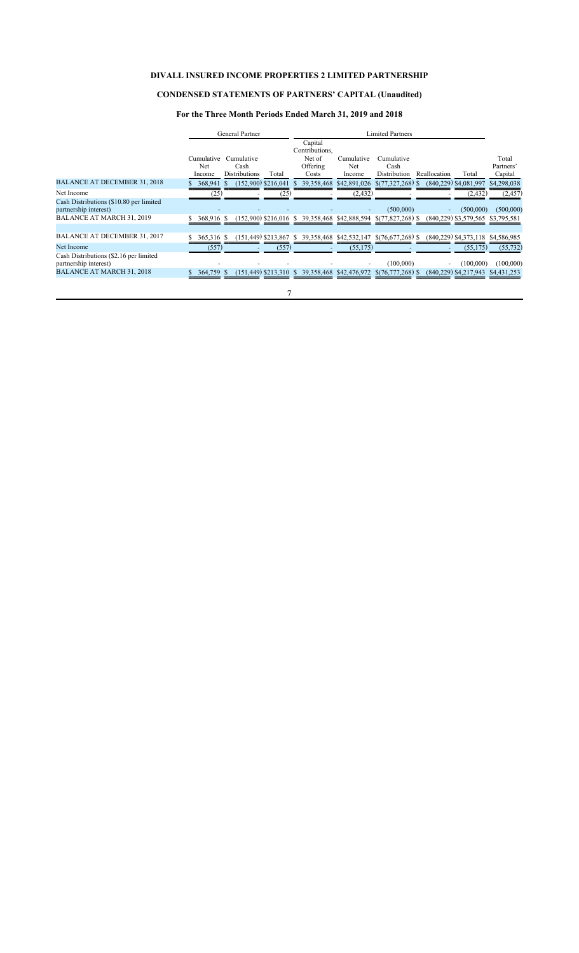# **CONDENSED STATEMENTS OF PARTNERS' CAPITAL (Unaudited)**

# **For the Three Month Periods Ended March 31, 2019 and 2018**

|                                                                  | General Partner |       |                      | <b>Limited Partners</b>   |  |                           |                                                 |                    |              |                                        |             |
|------------------------------------------------------------------|-----------------|-------|----------------------|---------------------------|--|---------------------------|-------------------------------------------------|--------------------|--------------|----------------------------------------|-------------|
|                                                                  |                 |       |                      |                           |  | Capital<br>Contributions, |                                                 |                    |              |                                        |             |
|                                                                  | Cumulative      |       | Cumulative           |                           |  | Net of                    | Cumulative                                      | Cumulative         |              |                                        | Total       |
|                                                                  | Net             |       | Cash                 |                           |  | Offering                  | Net                                             | Cash               |              |                                        | Partners'   |
|                                                                  | Income          |       | <b>Distributions</b> | Total                     |  | Costs                     | Income                                          | Distribution       | Reallocation | Total                                  | Capital     |
| <b>BALANCE AT DECEMBER 31, 2018</b>                              | 368,941 \$      |       |                      | $(152,900)$ \$216,041     |  |                           | 39,358,468 \$42,891,026                         | $$(77,327,268)$ \; |              | $(840,229)$ \$4,081,997                | \$4,298,038 |
| Net Income                                                       |                 | (25)  |                      | (25)                      |  |                           | (2, 432)                                        |                    |              | (2, 432)                               | (2, 457)    |
| Cash Distributions (\$10.80 per limited<br>partnership interest) |                 |       |                      |                           |  |                           |                                                 | (500,000)          |              | (500,000)                              | (500,000)   |
| BALANCE AT MARCH 31, 2019                                        | 368,916 \$      |       |                      | $(152,900)$ \$216,016 \$  |  |                           | 39,358,468 \$42,888,594                         | \$(77,827,268)     |              | (840, 229) \$3, 579, 565 \$3, 795, 581 |             |
| BALANCE AT DECEMBER 31, 2017                                     | 365,316 \$      |       |                      |                           |  |                           | $(151,449)$ \$213,867 \$39,358,468 \$42,532,147 | \$(76,677,268)     |              | (840, 229) \$4, 373, 118 \$4, 586, 985 |             |
| Net Income                                                       |                 | (557) |                      | (557)                     |  |                           | (55, 175)                                       |                    |              | (55, 175)                              | (55, 732)   |
| Cash Distributions (\$2.16 per limited<br>partnership interest)  |                 |       |                      |                           |  |                           |                                                 | (100,000)          |              | (100,000)                              | (100,000)   |
| <b>BALANCE AT MARCH 31, 2018</b>                                 | 364,759 \$      |       |                      | $(151, 449)$ \$213,310 \$ |  |                           | 39,358,468 \$42,476,972                         | $$(76,777,268)$ \; |              | $(840, 229)$ \$4,217,943               | \$4,431,253 |
|                                                                  |                 |       |                      |                           |  |                           |                                                 |                    |              |                                        |             |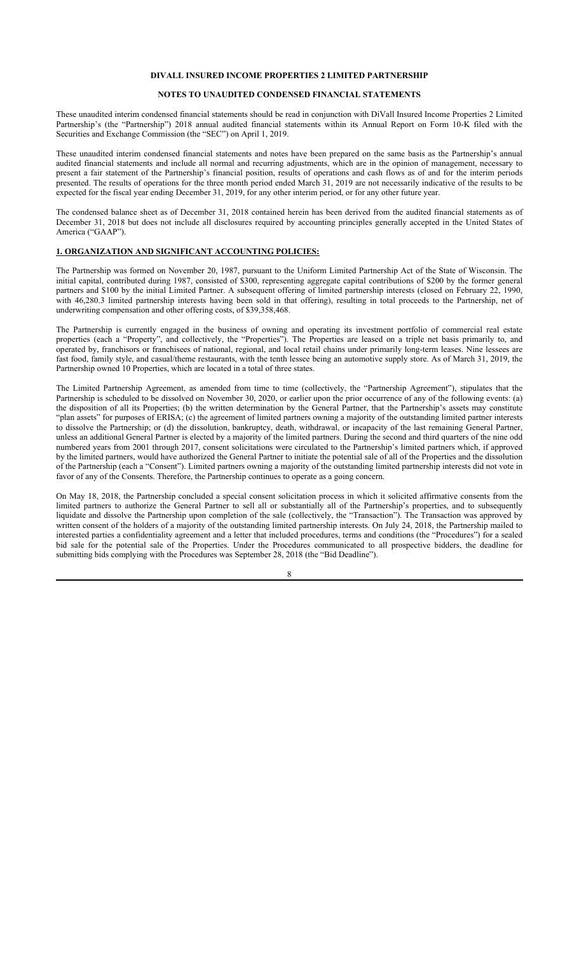#### **NOTES TO UNAUDITED CONDENSED FINANCIAL STATEMENTS**

These unaudited interim condensed financial statements should be read in conjunction with DiVall Insured Income Properties 2 Limited Partnership's (the "Partnership") 2018 annual audited financial statements within its Annual Report on Form 10-K filed with the Securities and Exchange Commission (the "SEC") on April 1, 2019.

These unaudited interim condensed financial statements and notes have been prepared on the same basis as the Partnership's annual audited financial statements and include all normal and recurring adjustments, which are in the opinion of management, necessary to present a fair statement of the Partnership's financial position, results of operations and cash flows as of and for the interim periods presented. The results of operations for the three month period ended March 31, 2019 are not necessarily indicative of the results to be expected for the fiscal year ending December 31, 2019, for any other interim period, or for any other future year.

The condensed balance sheet as of December 31, 2018 contained herein has been derived from the audited financial statements as of December 31, 2018 but does not include all disclosures required by accounting principles generally accepted in the United States of America ("GAAP").

#### **1. ORGANIZATION AND SIGNIFICANT ACCOUNTING POLICIES:**

The Partnership was formed on November 20, 1987, pursuant to the Uniform Limited Partnership Act of the State of Wisconsin. The initial capital, contributed during 1987, consisted of \$300, representing aggregate capital contributions of \$200 by the former general partners and \$100 by the initial Limited Partner. A subsequent offering of limited partnership interests (closed on February 22, 1990, with 46,280.3 limited partnership interests having been sold in that offering), resulting in total proceeds to the Partnership, net of underwriting compensation and other offering costs, of \$39,358,468.

The Partnership is currently engaged in the business of owning and operating its investment portfolio of commercial real estate properties (each a "Property", and collectively, the "Properties"). The Properties are leased on a triple net basis primarily to, and operated by, franchisors or franchisees of national, regional, and local retail chains under primarily long-term leases. Nine lessees are fast food, family style, and casual/theme restaurants, with the tenth lessee being an automotive supply store. As of March 31, 2019, the Partnership owned 10 Properties, which are located in a total of three states.

The Limited Partnership Agreement, as amended from time to time (collectively, the "Partnership Agreement"), stipulates that the Partnership is scheduled to be dissolved on November 30, 2020, or earlier upon the prior occurrence of any of the following events: (a) the disposition of all its Properties; (b) the written determination by the General Partner, that the Partnership's assets may constitute "plan assets" for purposes of ERISA; (c) the agreement of limited partners owning a majority of the outstanding limited partner interests to dissolve the Partnership; or (d) the dissolution, bankruptcy, death, withdrawal, or incapacity of the last remaining General Partner, unless an additional General Partner is elected by a majority of the limited partners. During the second and third quarters of the nine odd numbered years from 2001 through 2017, consent solicitations were circulated to the Partnership's limited partners which, if approved by the limited partners, would have authorized the General Partner to initiate the potential sale of all of the Properties and the dissolution of the Partnership (each a "Consent"). Limited partners owning a majority of the outstanding limited partnership interests did not vote in favor of any of the Consents. Therefore, the Partnership continues to operate as a going concern.

On May 18, 2018, the Partnership concluded a special consent solicitation process in which it solicited affirmative consents from the limited partners to authorize the General Partner to sell all or substantially all of the Partnership's properties, and to subsequently liquidate and dissolve the Partnership upon completion of the sale (collectively, the "Transaction"). The Transaction was approved by written consent of the holders of a majority of the outstanding limited partnership interests. On July 24, 2018, the Partnership mailed to interested parties a confidentiality agreement and a letter that included procedures, terms and conditions (the "Procedures") for a sealed bid sale for the potential sale of the Properties. Under the Procedures communicated to all prospective bidders, the deadline for submitting bids complying with the Procedures was September 28, 2018 (the "Bid Deadline").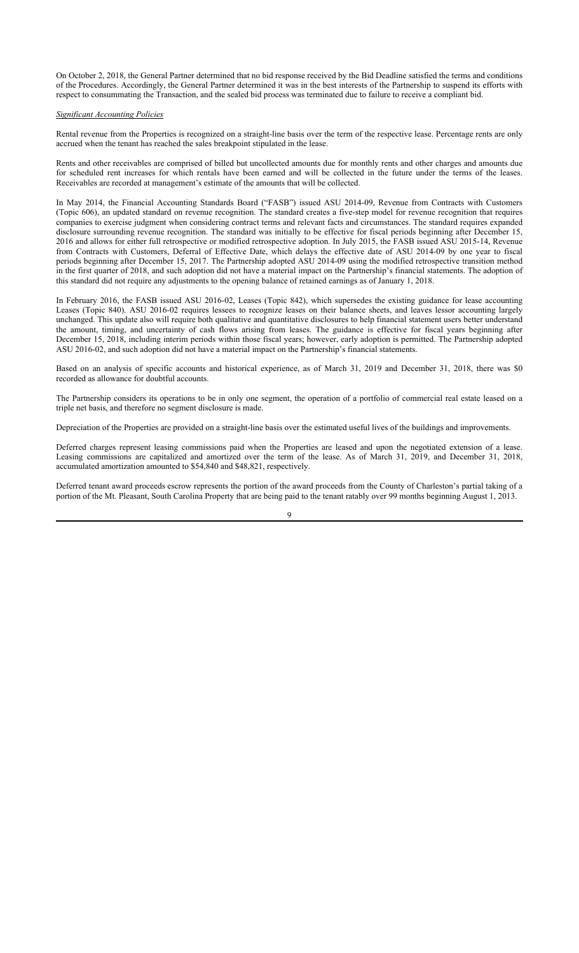On October 2, 2018, the General Partner determined that no bid response received by the Bid Deadline satisfied the terms and conditions of the Procedures. Accordingly, the General Partner determined it was in the best interests of the Partnership to suspend its efforts with respect to consummating the Transaction, and the sealed bid process was terminated due to failure to receive a compliant bid.

#### *Significant Accounting Policies*

Rental revenue from the Properties is recognized on a straight-line basis over the term of the respective lease. Percentage rents are only accrued when the tenant has reached the sales breakpoint stipulated in the lease.

Rents and other receivables are comprised of billed but uncollected amounts due for monthly rents and other charges and amounts due for scheduled rent increases for which rentals have been earned and will be collected in the future under the terms of the leases. Receivables are recorded at management's estimate of the amounts that will be collected.

In May 2014, the Financial Accounting Standards Board ("FASB") issued ASU 2014-09, Revenue from Contracts with Customers (Topic 606), an updated standard on revenue recognition. The standard creates a five-step model for revenue recognition that requires companies to exercise judgment when considering contract terms and relevant facts and circumstances. The standard requires expanded disclosure surrounding revenue recognition. The standard was initially to be effective for fiscal periods beginning after December 15, 2016 and allows for either full retrospective or modified retrospective adoption. In July 2015, the FASB issued ASU 2015-14, Revenue from Contracts with Customers, Deferral of Effective Date, which delays the effective date of ASU 2014-09 by one year to fiscal periods beginning after December 15, 2017. The Partnership adopted ASU 2014-09 using the modified retrospective transition method in the first quarter of 2018, and such adoption did not have a material impact on the Partnership's financial statements. The adoption of this standard did not require any adjustments to the opening balance of retained earnings as of January 1, 2018.

In February 2016, the FASB issued ASU 2016-02, Leases (Topic 842), which supersedes the existing guidance for lease accounting Leases (Topic 840). ASU 2016-02 requires lessees to recognize leases on their balance sheets, and leaves lessor accounting largely unchanged. This update also will require both qualitative and quantitative disclosures to help financial statement users better understand the amount, timing, and uncertainty of cash flows arising from leases. The guidance is effective for fiscal years beginning after December 15, 2018, including interim periods within those fiscal years; however, early adoption is permitted. The Partnership adopted ASU 2016-02, and such adoption did not have a material impact on the Partnership's financial statements.

Based on an analysis of specific accounts and historical experience, as of March 31, 2019 and December 31, 2018, there was \$0 recorded as allowance for doubtful accounts.

The Partnership considers its operations to be in only one segment, the operation of a portfolio of commercial real estate leased on a triple net basis, and therefore no segment disclosure is made.

Depreciation of the Properties are provided on a straight-line basis over the estimated useful lives of the buildings and improvements.

Deferred charges represent leasing commissions paid when the Properties are leased and upon the negotiated extension of a lease. Leasing commissions are capitalized and amortized over the term of the lease. As of March 31, 2019, and December 31, 2018, accumulated amortization amounted to \$54,840 and \$48,821, respectively.

Deferred tenant award proceeds escrow represents the portion of the award proceeds from the County of Charleston's partial taking of a portion of the Mt. Pleasant, South Carolina Property that are being paid to the tenant ratably over 99 months beginning August 1, 2013.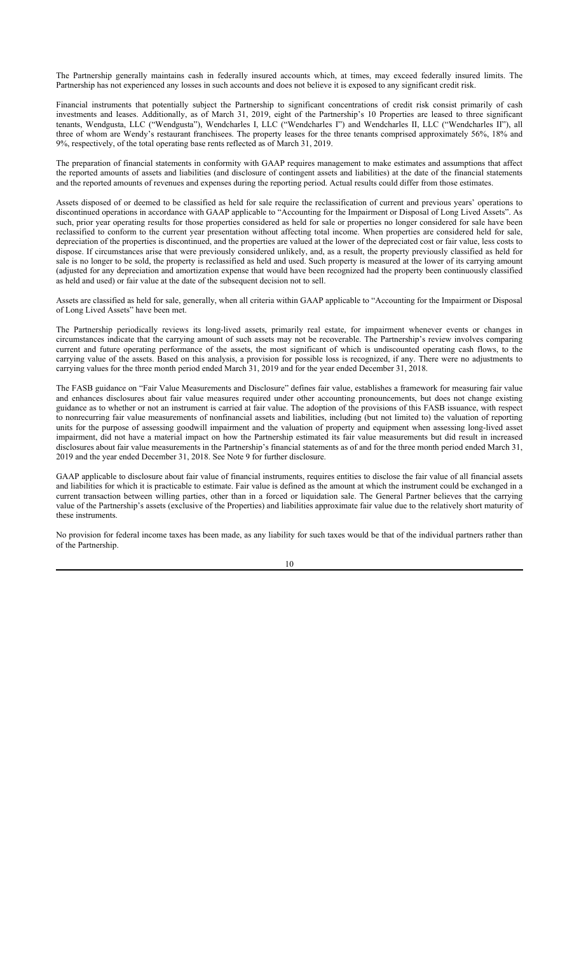The Partnership generally maintains cash in federally insured accounts which, at times, may exceed federally insured limits. The Partnership has not experienced any losses in such accounts and does not believe it is exposed to any significant credit risk.

Financial instruments that potentially subject the Partnership to significant concentrations of credit risk consist primarily of cash investments and leases. Additionally, as of March 31, 2019, eight of the Partnership's 10 Properties are leased to three significant tenants, Wendgusta, LLC ("Wendgusta"), Wendcharles I, LLC ("Wendcharles I") and Wendcharles II, LLC ("Wendcharles II"), all three of whom are Wendy's restaurant franchisees. The property leases for the three tenants comprised approximately 56%, 18% and 9%, respectively, of the total operating base rents reflected as of March 31, 2019.

The preparation of financial statements in conformity with GAAP requires management to make estimates and assumptions that affect the reported amounts of assets and liabilities (and disclosure of contingent assets and liabilities) at the date of the financial statements and the reported amounts of revenues and expenses during the reporting period. Actual results could differ from those estimates.

Assets disposed of or deemed to be classified as held for sale require the reclassification of current and previous years' operations to discontinued operations in accordance with GAAP applicable to "Accounting for the Impairment or Disposal of Long Lived Assets". As such, prior year operating results for those properties considered as held for sale or properties no longer considered for sale have been reclassified to conform to the current year presentation without affecting total income. When properties are considered held for sale, depreciation of the properties is discontinued, and the properties are valued at the lower of the depreciated cost or fair value, less costs to dispose. If circumstances arise that were previously considered unlikely, and, as a result, the property previously classified as held for sale is no longer to be sold, the property is reclassified as held and used. Such property is measured at the lower of its carrying amount (adjusted for any depreciation and amortization expense that would have been recognized had the property been continuously classified as held and used) or fair value at the date of the subsequent decision not to sell.

Assets are classified as held for sale, generally, when all criteria within GAAP applicable to "Accounting for the Impairment or Disposal of Long Lived Assets" have been met.

The Partnership periodically reviews its long-lived assets, primarily real estate, for impairment whenever events or changes in circumstances indicate that the carrying amount of such assets may not be recoverable. The Partnership's review involves comparing current and future operating performance of the assets, the most significant of which is undiscounted operating cash flows, to the carrying value of the assets. Based on this analysis, a provision for possible loss is recognized, if any. There were no adjustments to carrying values for the three month period ended March 31, 2019 and for the year ended December 31, 2018.

The FASB guidance on "Fair Value Measurements and Disclosure" defines fair value, establishes a framework for measuring fair value and enhances disclosures about fair value measures required under other accounting pronouncements, but does not change existing guidance as to whether or not an instrument is carried at fair value. The adoption of the provisions of this FASB issuance, with respect to nonrecurring fair value measurements of nonfinancial assets and liabilities, including (but not limited to) the valuation of reporting units for the purpose of assessing goodwill impairment and the valuation of property and equipment when assessing long-lived asset impairment, did not have a material impact on how the Partnership estimated its fair value measurements but did result in increased disclosures about fair value measurements in the Partnership's financial statements as of and for the three month period ended March 31, 2019 and the year ended December 31, 2018. See Note 9 for further disclosure.

GAAP applicable to disclosure about fair value of financial instruments, requires entities to disclose the fair value of all financial assets and liabilities for which it is practicable to estimate. Fair value is defined as the amount at which the instrument could be exchanged in a current transaction between willing parties, other than in a forced or liquidation sale. The General Partner believes that the carrying value of the Partnership's assets (exclusive of the Properties) and liabilities approximate fair value due to the relatively short maturity of these instruments.

No provision for federal income taxes has been made, as any liability for such taxes would be that of the individual partners rather than of the Partnership.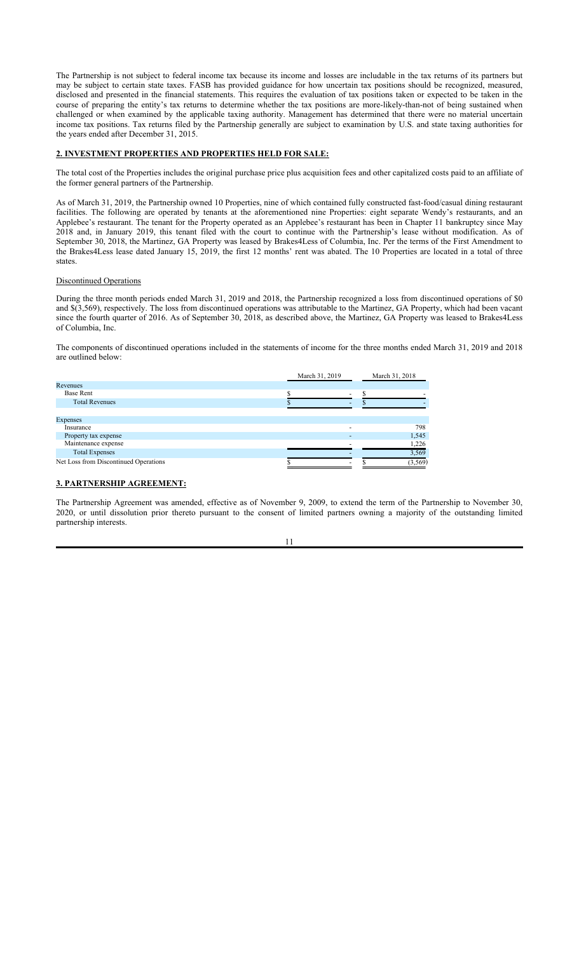The Partnership is not subject to federal income tax because its income and losses are includable in the tax returns of its partners but may be subject to certain state taxes. FASB has provided guidance for how uncertain tax positions should be recognized, measured, disclosed and presented in the financial statements. This requires the evaluation of tax positions taken or expected to be taken in the course of preparing the entity's tax returns to determine whether the tax positions are more-likely-than-not of being sustained when challenged or when examined by the applicable taxing authority. Management has determined that there were no material uncertain income tax positions. Tax returns filed by the Partnership generally are subject to examination by U.S. and state taxing authorities for the years ended after December 31, 2015.

#### **2. INVESTMENT PROPERTIES AND PROPERTIES HELD FOR SALE:**

The total cost of the Properties includes the original purchase price plus acquisition fees and other capitalized costs paid to an affiliate of the former general partners of the Partnership.

As of March 31, 2019, the Partnership owned 10 Properties, nine of which contained fully constructed fast-food/casual dining restaurant facilities. The following are operated by tenants at the aforementioned nine Properties: eight separate Wendy's restaurants, and an Applebee's restaurant. The tenant for the Property operated as an Applebee's restaurant has been in Chapter 11 bankruptcy since May 2018 and, in January 2019, this tenant filed with the court to continue with the Partnership's lease without modification. As of September 30, 2018, the Martinez, GA Property was leased by Brakes4Less of Columbia, Inc. Per the terms of the First Amendment to the Brakes4Less lease dated January 15, 2019, the first 12 months' rent was abated. The 10 Properties are located in a total of three states.

#### Discontinued Operations

During the three month periods ended March 31, 2019 and 2018, the Partnership recognized a loss from discontinued operations of \$0 and \$(3,569), respectively. The loss from discontinued operations was attributable to the Martinez, GA Property, which had been vacant since the fourth quarter of 2016. As of September 30, 2018, as described above, the Martinez, GA Property was leased to Brakes4Less of Columbia, Inc.

The components of discontinued operations included in the statements of income for the three months ended March 31, 2019 and 2018 are outlined below:

|                                       | March 31, 2019 |  | March 31, 2018 |
|---------------------------------------|----------------|--|----------------|
| Revenues                              |                |  |                |
| <b>Base Rent</b>                      |                |  |                |
| <b>Total Revenues</b>                 |                |  |                |
|                                       |                |  |                |
| <b>Expenses</b>                       |                |  |                |
| Insurance                             |                |  | 798            |
| Property tax expense                  |                |  | 1,545          |
| Maintenance expense                   |                |  | 1,226          |
| <b>Total Expenses</b>                 |                |  | 3,569          |
| Net Loss from Discontinued Operations |                |  | (3, 569)       |

#### **3. PARTNERSHIP AGREEMENT:**

The Partnership Agreement was amended, effective as of November 9, 2009, to extend the term of the Partnership to November 30, 2020, or until dissolution prior thereto pursuant to the consent of limited partners owning a majority of the outstanding limited partnership interests.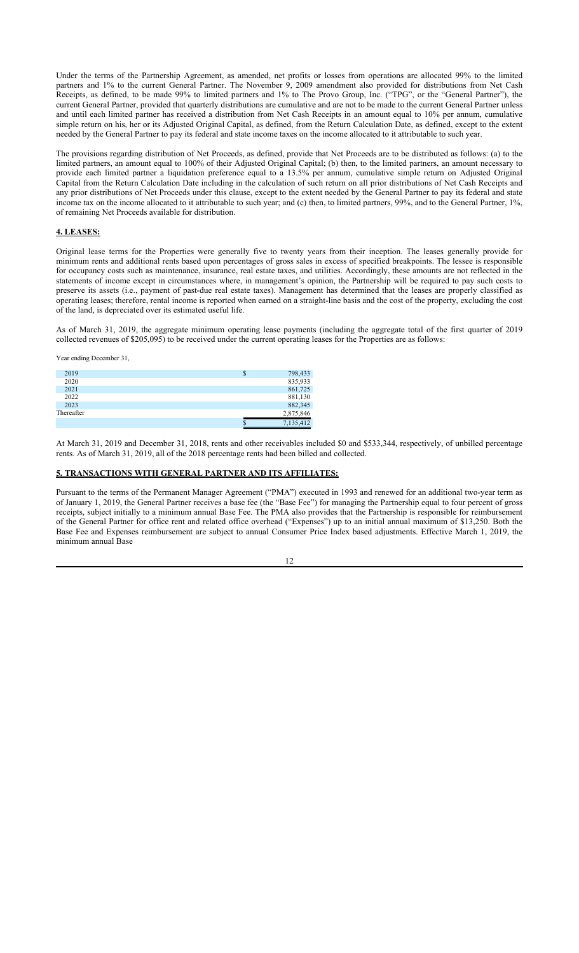Under the terms of the Partnership Agreement, as amended, net profits or losses from operations are allocated 99% to the limited partners and 1% to the current General Partner. The November 9, 2009 amendment also provided for distributions from Net Cash Receipts, as defined, to be made 99% to limited partners and 1% to The Provo Group, Inc. ("TPG", or the "General Partner"), the current General Partner, provided that quarterly distributions are cumulative and are not to be made to the current General Partner unless and until each limited partner has received a distribution from Net Cash Receipts in an amount equal to 10% per annum, cumulative simple return on his, her or its Adjusted Original Capital, as defined, from the Return Calculation Date, as defined, except to the extent needed by the General Partner to pay its federal and state income taxes on the income allocated to it attributable to such year.

The provisions regarding distribution of Net Proceeds, as defined, provide that Net Proceeds are to be distributed as follows: (a) to the limited partners, an amount equal to 100% of their Adjusted Original Capital; (b) then, to the limited partners, an amount necessary to provide each limited partner a liquidation preference equal to a 13.5% per annum, cumulative simple return on Adjusted Original Capital from the Return Calculation Date including in the calculation of such return on all prior distributions of Net Cash Receipts and any prior distributions of Net Proceeds under this clause, except to the extent needed by the General Partner to pay its federal and state income tax on the income allocated to it attributable to such year; and (c) then, to limited partners, 99%, and to the General Partner, 1%, of remaining Net Proceeds available for distribution.

#### **4. LEASES:**

Original lease terms for the Properties were generally five to twenty years from their inception. The leases generally provide for minimum rents and additional rents based upon percentages of gross sales in excess of specified breakpoints. The lessee is responsible for occupancy costs such as maintenance, insurance, real estate taxes, and utilities. Accordingly, these amounts are not reflected in the statements of income except in circumstances where, in management's opinion, the Partnership will be required to pay such costs to preserve its assets (i.e., payment of past-due real estate taxes). Management has determined that the leases are properly classified as operating leases; therefore, rental income is reported when earned on a straight-line basis and the cost of the property, excluding the cost of the land, is depreciated over its estimated useful life.

As of March 31, 2019, the aggregate minimum operating lease payments (including the aggregate total of the first quarter of 2019 collected revenues of \$205,095) to be received under the current operating leases for the Properties are as follows:

Year ending December 31,

| 2019       | J | 798,433   |
|------------|---|-----------|
| 2020       |   | 835,933   |
| 2021       |   | 861,725   |
| 2022       |   | 881,130   |
| 2023       |   | 882,345   |
| Thereafter |   | 2,875,846 |
|            |   | 7,135,412 |
|            |   |           |

At March 31, 2019 and December 31, 2018, rents and other receivables included \$0 and \$533,344, respectively, of unbilled percentage rents. As of March 31, 2019, all of the 2018 percentage rents had been billed and collected.

#### **5. TRANSACTIONS WITH GENERAL PARTNER AND ITS AFFILIATES:**

Pursuant to the terms of the Permanent Manager Agreement ("PMA") executed in 1993 and renewed for an additional two-year term as of January 1, 2019, the General Partner receives a base fee (the "Base Fee") for managing the Partnership equal to four percent of gross receipts, subject initially to a minimum annual Base Fee. The PMA also provides that the Partnership is responsible for reimbursement of the General Partner for office rent and related office overhead ("Expenses") up to an initial annual maximum of \$13,250. Both the Base Fee and Expenses reimbursement are subject to annual Consumer Price Index based adjustments. Effective March 1, 2019, the minimum annual Base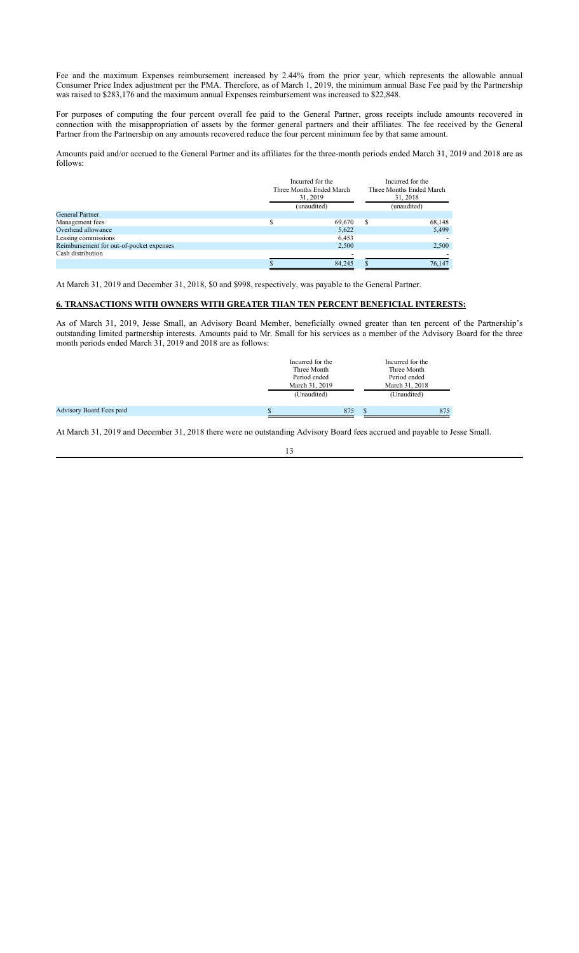Fee and the maximum Expenses reimbursement increased by 2.44% from the prior year, which represents the allowable annual Consumer Price Index adjustment per the PMA. Therefore, as of March 1, 2019, the minimum annual Base Fee paid by the Partnership was raised to \$283,176 and the maximum annual Expenses reimbursement was increased to \$22,848.

For purposes of computing the four percent overall fee paid to the General Partner, gross receipts include amounts recovered in connection with the misappropriation of assets by the former general partners and their affiliates. The fee received by the General Partner from the Partnership on any amounts recovered reduce the four percent minimum fee by that same amount.

Amounts paid and/or accrued to the General Partner and its affiliates for the three-month periods ended March 31, 2019 and 2018 are as follows:

|                                          |  | Incurred for the<br>Three Months Ended March<br>31, 2019<br>(unaudited) |   | Incurred for the<br>Three Months Ended March<br>31, 2018 |
|------------------------------------------|--|-------------------------------------------------------------------------|---|----------------------------------------------------------|
|                                          |  |                                                                         |   | (unaudited)                                              |
| General Partner                          |  |                                                                         |   |                                                          |
| Management fees                          |  | 69,670                                                                  | S | 68,148                                                   |
| Overhead allowance                       |  | 5,622                                                                   |   | 5,499                                                    |
| Leasing commissions                      |  | 6,453                                                                   |   |                                                          |
| Reimbursement for out-of-pocket expenses |  | 2,500                                                                   |   | 2,500                                                    |
| Cash distribution                        |  |                                                                         |   |                                                          |
|                                          |  | 84,245                                                                  |   | 76.147                                                   |

At March 31, 2019 and December 31, 2018, \$0 and \$998, respectively, was payable to the General Partner.

#### **6. TRANSACTIONS WITH OWNERS WITH GREATER THAN TEN PERCENT BENEFICIAL INTERESTS:**

As of March 31, 2019, Jesse Small, an Advisory Board Member, beneficially owned greater than ten percent of the Partnership's outstanding limited partnership interests. Amounts paid to Mr. Small for his services as a member of the Advisory Board for the three month periods ended March 31, 2019 and 2018 are as follows:

|                          |                | Incurred for the<br>Three Month |          | Incurred for the<br>Three Month |     |
|--------------------------|----------------|---------------------------------|----------|---------------------------------|-----|
|                          | Period ended   |                                 |          | Period ended                    |     |
|                          | March 31, 2019 |                                 |          | March 31, 2018                  |     |
|                          | (Unaudited)    |                                 |          | (Unaudited)                     |     |
| Advisory Board Fees paid |                | 875                             | <b>S</b> |                                 | 875 |

At March 31, 2019 and December 31, 2018 there were no outstanding Advisory Board fees accrued and payable to Jesse Small.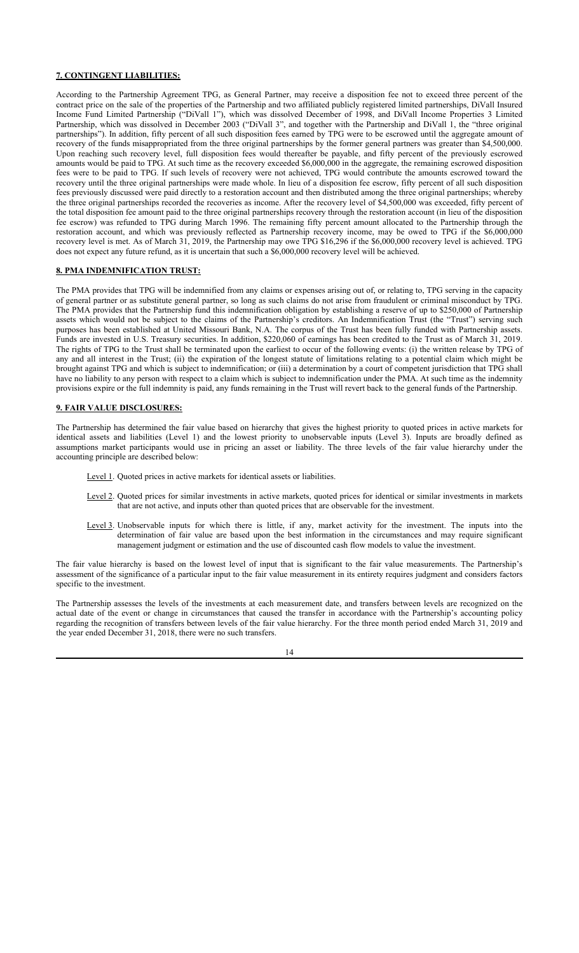#### **7. CONTINGENT LIABILITIES:**

According to the Partnership Agreement TPG, as General Partner, may receive a disposition fee not to exceed three percent of the contract price on the sale of the properties of the Partnership and two affiliated publicly registered limited partnerships, DiVall Insured Income Fund Limited Partnership ("DiVall 1"), which was dissolved December of 1998, and DiVall Income Properties 3 Limited Partnership, which was dissolved in December 2003 ("DiVall 3", and together with the Partnership and DiVall 1, the "three original partnerships"). In addition, fifty percent of all such disposition fees earned by TPG were to be escrowed until the aggregate amount of recovery of the funds misappropriated from the three original partnerships by the former general partners was greater than \$4,500,000. Upon reaching such recovery level, full disposition fees would thereafter be payable, and fifty percent of the previously escrowed amounts would be paid to TPG. At such time as the recovery exceeded \$6,000,000 in the aggregate, the remaining escrowed disposition fees were to be paid to TPG. If such levels of recovery were not achieved, TPG would contribute the amounts escrowed toward the recovery until the three original partnerships were made whole. In lieu of a disposition fee escrow, fifty percent of all such disposition fees previously discussed were paid directly to a restoration account and then distributed among the three original partnerships; whereby the three original partnerships recorded the recoveries as income. After the recovery level of \$4,500,000 was exceeded, fifty percent of the total disposition fee amount paid to the three original partnerships recovery through the restoration account (in lieu of the disposition fee escrow) was refunded to TPG during March 1996. The remaining fifty percent amount allocated to the Partnership through the restoration account, and which was previously reflected as Partnership recovery income, may be owed to TPG if the \$6,000,000 recovery level is met. As of March 31, 2019, the Partnership may owe TPG \$16,296 if the \$6,000,000 recovery level is achieved. TPG does not expect any future refund, as it is uncertain that such a \$6,000,000 recovery level will be achieved.

# **8. PMA INDEMNIFICATION TRUST:**

The PMA provides that TPG will be indemnified from any claims or expenses arising out of, or relating to, TPG serving in the capacity of general partner or as substitute general partner, so long as such claims do not arise from fraudulent or criminal misconduct by TPG. The PMA provides that the Partnership fund this indemnification obligation by establishing a reserve of up to \$250,000 of Partnership assets which would not be subject to the claims of the Partnership's creditors. An Indemnification Trust (the "Trust") serving such purposes has been established at United Missouri Bank, N.A. The corpus of the Trust has been fully funded with Partnership assets. Funds are invested in U.S. Treasury securities. In addition, \$220,060 of earnings has been credited to the Trust as of March 31, 2019. The rights of TPG to the Trust shall be terminated upon the earliest to occur of the following events: (i) the written release by TPG of any and all interest in the Trust; (ii) the expiration of the longest statute of limitations relating to a potential claim which might be brought against TPG and which is subject to indemnification; or (iii) a determination by a court of competent jurisdiction that TPG shall have no liability to any person with respect to a claim which is subject to indemnification under the PMA. At such time as the indemnity provisions expire or the full indemnity is paid, any funds remaining in the Trust will revert back to the general funds of the Partnership.

#### **9. FAIR VALUE DISCLOSURES:**

The Partnership has determined the fair value based on hierarchy that gives the highest priority to quoted prices in active markets for identical assets and liabilities (Level 1) and the lowest priority to unobservable inputs (Level 3). Inputs are broadly defined as assumptions market participants would use in pricing an asset or liability. The three levels of the fair value hierarchy under the accounting principle are described below:

- Level 1. Quoted prices in active markets for identical assets or liabilities.
- Level 2. Quoted prices for similar investments in active markets, quoted prices for identical or similar investments in markets that are not active, and inputs other than quoted prices that are observable for the investment.
- Level 3. Unobservable inputs for which there is little, if any, market activity for the investment. The inputs into the determination of fair value are based upon the best information in the circumstances and may require significant management judgment or estimation and the use of discounted cash flow models to value the investment.

The fair value hierarchy is based on the lowest level of input that is significant to the fair value measurements. The Partnership's assessment of the significance of a particular input to the fair value measurement in its entirety requires judgment and considers factors specific to the investment.

The Partnership assesses the levels of the investments at each measurement date, and transfers between levels are recognized on the actual date of the event or change in circumstances that caused the transfer in accordance with the Partnership's accounting policy regarding the recognition of transfers between levels of the fair value hierarchy. For the three month period ended March 31, 2019 and the year ended December 31, 2018, there were no such transfers.

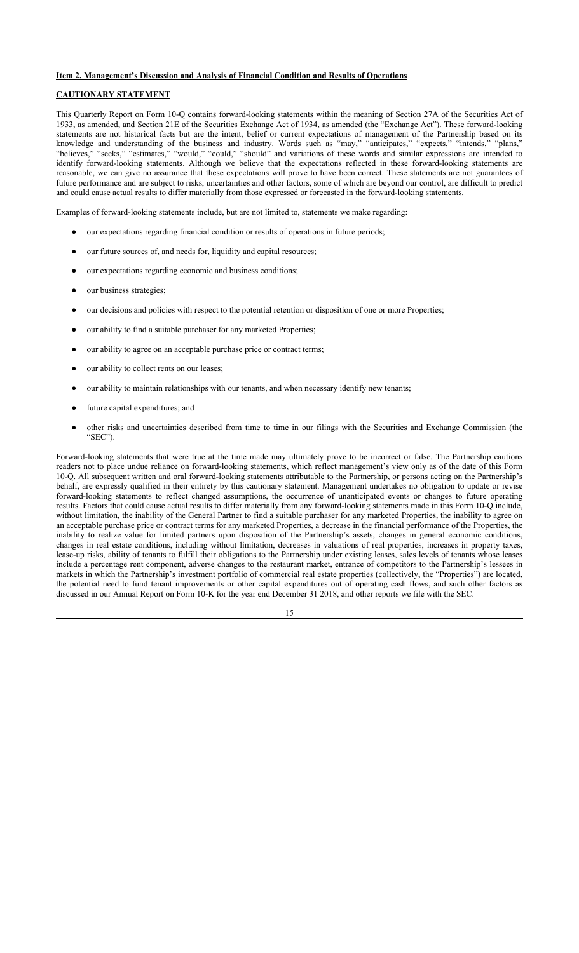#### **Item 2. Management's Discussion and Analysis of Financial Condition and Results of Operations**

#### **CAUTIONARY STATEMENT**

This Quarterly Report on Form 10-Q contains forward-looking statements within the meaning of Section 27A of the Securities Act of 1933, as amended, and Section 21E of the Securities Exchange Act of 1934, as amended (the "Exchange Act"). These forward-looking statements are not historical facts but are the intent, belief or current expectations of management of the Partnership based on its knowledge and understanding of the business and industry. Words such as "may," "anticipates," "expects," "intends," "plans," "believes," "seeks," "estimates," "would," "could," "should" and variations of these words and similar expressions are intended to identify forward-looking statements. Although we believe that the expectations reflected in these forward-looking statements are reasonable, we can give no assurance that these expectations will prove to have been correct. These statements are not guarantees of future performance and are subject to risks, uncertainties and other factors, some of which are beyond our control, are difficult to predict and could cause actual results to differ materially from those expressed or forecasted in the forward-looking statements.

Examples of forward-looking statements include, but are not limited to, statements we make regarding:

- our expectations regarding financial condition or results of operations in future periods;
- our future sources of, and needs for, liquidity and capital resources;
- our expectations regarding economic and business conditions;
- our business strategies;
- our decisions and policies with respect to the potential retention or disposition of one or more Properties;
- our ability to find a suitable purchaser for any marketed Properties;
- our ability to agree on an acceptable purchase price or contract terms;
- our ability to collect rents on our leases;
- our ability to maintain relationships with our tenants, and when necessary identify new tenants;
- future capital expenditures; and
- other risks and uncertainties described from time to time in our filings with the Securities and Exchange Commission (the "SEC").

Forward-looking statements that were true at the time made may ultimately prove to be incorrect or false. The Partnership cautions readers not to place undue reliance on forward-looking statements, which reflect management's view only as of the date of this Form 10-Q. All subsequent written and oral forward-looking statements attributable to the Partnership, or persons acting on the Partnership's behalf, are expressly qualified in their entirety by this cautionary statement. Management undertakes no obligation to update or revise forward-looking statements to reflect changed assumptions, the occurrence of unanticipated events or changes to future operating results. Factors that could cause actual results to differ materially from any forward-looking statements made in this Form 10-Q include, without limitation, the inability of the General Partner to find a suitable purchaser for any marketed Properties, the inability to agree on an acceptable purchase price or contract terms for any marketed Properties, a decrease in the financial performance of the Properties, the inability to realize value for limited partners upon disposition of the Partnership's assets, changes in general economic conditions, changes in real estate conditions, including without limitation, decreases in valuations of real properties, increases in property taxes, lease-up risks, ability of tenants to fulfill their obligations to the Partnership under existing leases, sales levels of tenants whose leases include a percentage rent component, adverse changes to the restaurant market, entrance of competitors to the Partnership's lessees in markets in which the Partnership's investment portfolio of commercial real estate properties (collectively, the "Properties") are located, the potential need to fund tenant improvements or other capital expenditures out of operating cash flows, and such other factors as discussed in our Annual Report on Form 10-K for the year end December 31 2018, and other reports we file with the SEC.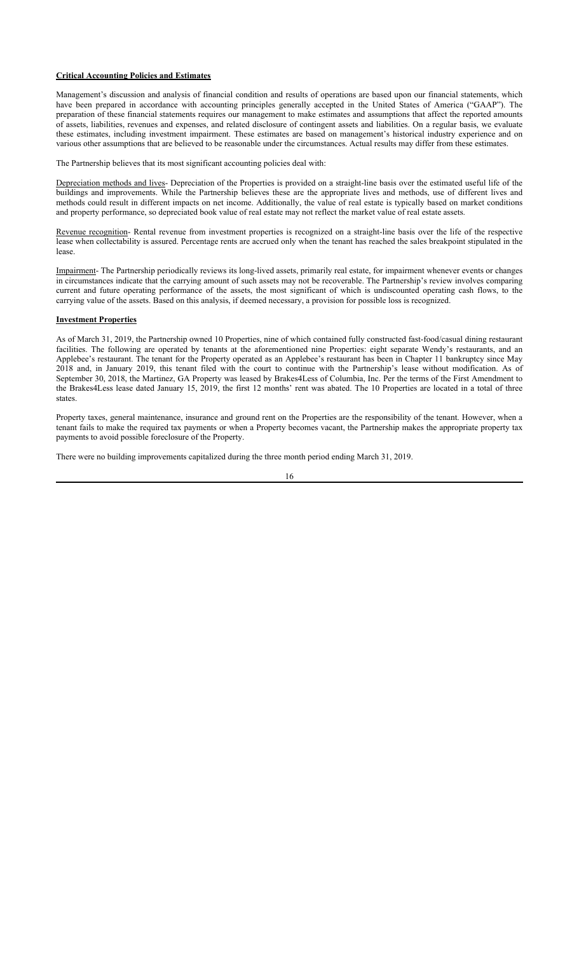#### **Critical Accounting Policies and Estimates**

Management's discussion and analysis of financial condition and results of operations are based upon our financial statements, which have been prepared in accordance with accounting principles generally accepted in the United States of America ("GAAP"). The preparation of these financial statements requires our management to make estimates and assumptions that affect the reported amounts of assets, liabilities, revenues and expenses, and related disclosure of contingent assets and liabilities. On a regular basis, we evaluate these estimates, including investment impairment. These estimates are based on management's historical industry experience and on various other assumptions that are believed to be reasonable under the circumstances. Actual results may differ from these estimates.

The Partnership believes that its most significant accounting policies deal with:

Depreciation methods and lives- Depreciation of the Properties is provided on a straight-line basis over the estimated useful life of the buildings and improvements. While the Partnership believes these are the appropriate lives and methods, use of different lives and methods could result in different impacts on net income. Additionally, the value of real estate is typically based on market conditions and property performance, so depreciated book value of real estate may not reflect the market value of real estate assets.

Revenue recognition- Rental revenue from investment properties is recognized on a straight-line basis over the life of the respective lease when collectability is assured. Percentage rents are accrued only when the tenant has reached the sales breakpoint stipulated in the lease.

Impairment- The Partnership periodically reviews its long-lived assets, primarily real estate, for impairment whenever events or changes in circumstances indicate that the carrying amount of such assets may not be recoverable. The Partnership's review involves comparing current and future operating performance of the assets, the most significant of which is undiscounted operating cash flows, to the carrying value of the assets. Based on this analysis, if deemed necessary, a provision for possible loss is recognized.

#### **Investment Properties**

As of March 31, 2019, the Partnership owned 10 Properties, nine of which contained fully constructed fast-food/casual dining restaurant facilities. The following are operated by tenants at the aforementioned nine Properties: eight separate Wendy's restaurants, and an Applebee's restaurant. The tenant for the Property operated as an Applebee's restaurant has been in Chapter 11 bankruptcy since May 2018 and, in January 2019, this tenant filed with the court to continue with the Partnership's lease without modification. As of September 30, 2018, the Martinez, GA Property was leased by Brakes4Less of Columbia, Inc. Per the terms of the First Amendment to the Brakes4Less lease dated January 15, 2019, the first 12 months' rent was abated. The 10 Properties are located in a total of three states.

Property taxes, general maintenance, insurance and ground rent on the Properties are the responsibility of the tenant. However, when a tenant fails to make the required tax payments or when a Property becomes vacant, the Partnership makes the appropriate property tax payments to avoid possible foreclosure of the Property.

There were no building improvements capitalized during the three month period ending March 31, 2019.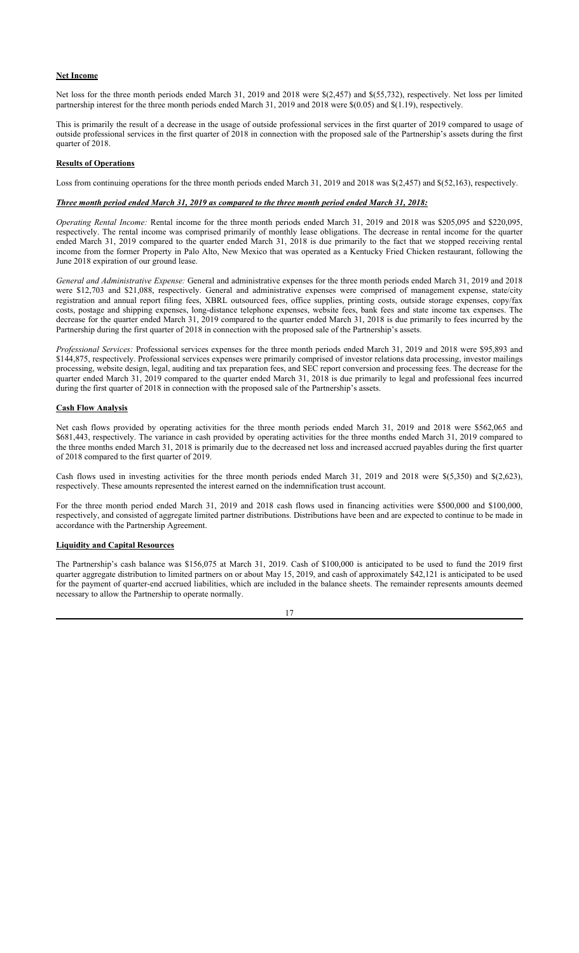#### **Net Income**

Net loss for the three month periods ended March 31, 2019 and 2018 were \$(2,457) and \$(55,732), respectively. Net loss per limited partnership interest for the three month periods ended March 31, 2019 and 2018 were \$(0.05) and \$(1.19), respectively.

This is primarily the result of a decrease in the usage of outside professional services in the first quarter of 2019 compared to usage of outside professional services in the first quarter of 2018 in connection with the proposed sale of the Partnership's assets during the first quarter of 2018.

#### **Results of Operations**

Loss from continuing operations for the three month periods ended March 31, 2019 and 2018 was \$(2,457) and \$(52,163), respectively.

#### *Three month period ended March 31, 2019 as compared to the three month period ended March 31, 2018:*

*Operating Rental Income:* Rental income for the three month periods ended March 31, 2019 and 2018 was \$205,095 and \$220,095, respectively. The rental income was comprised primarily of monthly lease obligations. The decrease in rental income for the quarter ended March 31, 2019 compared to the quarter ended March 31, 2018 is due primarily to the fact that we stopped receiving rental income from the former Property in Palo Alto, New Mexico that was operated as a Kentucky Fried Chicken restaurant, following the June 2018 expiration of our ground lease.

*General and Administrative Expense:* General and administrative expenses for the three month periods ended March 31, 2019 and 2018 were \$12,703 and \$21,088, respectively. General and administrative expenses were comprised of management expense, state/city registration and annual report filing fees, XBRL outsourced fees, office supplies, printing costs, outside storage expenses, copy/fax costs, postage and shipping expenses, long-distance telephone expenses, website fees, bank fees and state income tax expenses. The decrease for the quarter ended March 31, 2019 compared to the quarter ended March 31, 2018 is due primarily to fees incurred by the Partnership during the first quarter of 2018 in connection with the proposed sale of the Partnership's assets.

*Professional Services:* Professional services expenses for the three month periods ended March 31, 2019 and 2018 were \$95,893 and \$144,875, respectively. Professional services expenses were primarily comprised of investor relations data processing, investor mailings processing, website design, legal, auditing and tax preparation fees, and SEC report conversion and processing fees. The decrease for the quarter ended March 31, 2019 compared to the quarter ended March 31, 2018 is due primarily to legal and professional fees incurred during the first quarter of 2018 in connection with the proposed sale of the Partnership's assets.

#### **Cash Flow Analysis**

Net cash flows provided by operating activities for the three month periods ended March 31, 2019 and 2018 were \$562,065 and \$681,443, respectively. The variance in cash provided by operating activities for the three months ended March 31, 2019 compared to the three months ended March 31, 2018 is primarily due to the decreased net loss and increased accrued payables during the first quarter of 2018 compared to the first quarter of 2019.

Cash flows used in investing activities for the three month periods ended March 31, 2019 and 2018 were \$(5,350) and \$(2,623), respectively. These amounts represented the interest earned on the indemnification trust account.

For the three month period ended March 31, 2019 and 2018 cash flows used in financing activities were \$500,000 and \$100,000, respectively, and consisted of aggregate limited partner distributions. Distributions have been and are expected to continue to be made in accordance with the Partnership Agreement.

#### **Liquidity and Capital Resources**

The Partnership's cash balance was \$156,075 at March 31, 2019. Cash of \$100,000 is anticipated to be used to fund the 2019 first quarter aggregate distribution to limited partners on or about May 15, 2019, and cash of approximately \$42,121 is anticipated to be used for the payment of quarter-end accrued liabilities, which are included in the balance sheets. The remainder represents amounts deemed necessary to allow the Partnership to operate normally.

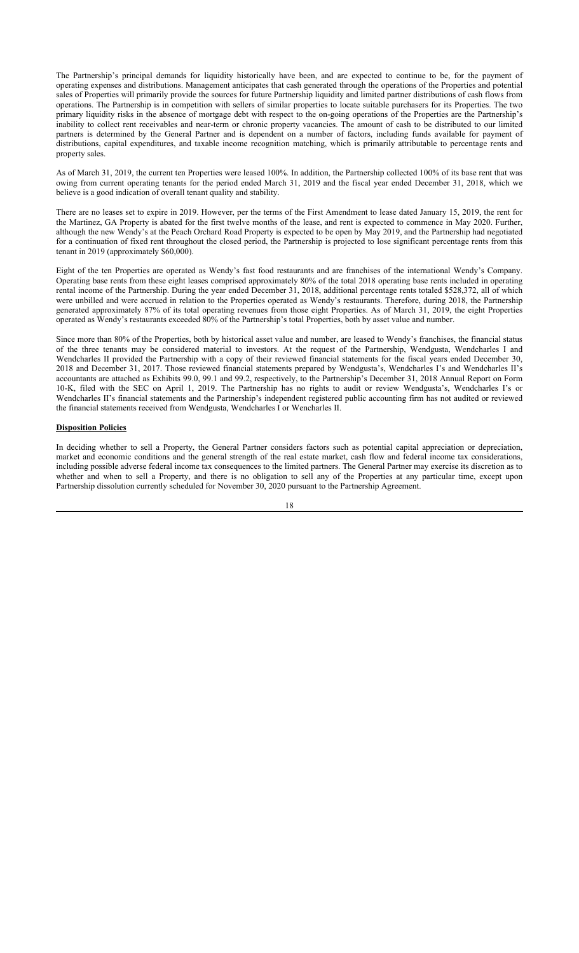The Partnership's principal demands for liquidity historically have been, and are expected to continue to be, for the payment of operating expenses and distributions. Management anticipates that cash generated through the operations of the Properties and potential sales of Properties will primarily provide the sources for future Partnership liquidity and limited partner distributions of cash flows from operations. The Partnership is in competition with sellers of similar properties to locate suitable purchasers for its Properties. The two primary liquidity risks in the absence of mortgage debt with respect to the on-going operations of the Properties are the Partnership's inability to collect rent receivables and near-term or chronic property vacancies. The amount of cash to be distributed to our limited partners is determined by the General Partner and is dependent on a number of factors, including funds available for payment of distributions, capital expenditures, and taxable income recognition matching, which is primarily attributable to percentage rents and property sales.

As of March 31, 2019, the current ten Properties were leased 100%. In addition, the Partnership collected 100% of its base rent that was owing from current operating tenants for the period ended March 31, 2019 and the fiscal year ended December 31, 2018, which we believe is a good indication of overall tenant quality and stability.

There are no leases set to expire in 2019. However, per the terms of the First Amendment to lease dated January 15, 2019, the rent for the Martinez, GA Property is abated for the first twelve months of the lease, and rent is expected to commence in May 2020. Further, although the new Wendy's at the Peach Orchard Road Property is expected to be open by May 2019, and the Partnership had negotiated for a continuation of fixed rent throughout the closed period, the Partnership is projected to lose significant percentage rents from this tenant in 2019 (approximately \$60,000).

Eight of the ten Properties are operated as Wendy's fast food restaurants and are franchises of the international Wendy's Company. Operating base rents from these eight leases comprised approximately 80% of the total 2018 operating base rents included in operating rental income of the Partnership. During the year ended December 31, 2018, additional percentage rents totaled \$528,372, all of which were unbilled and were accrued in relation to the Properties operated as Wendy's restaurants. Therefore, during 2018, the Partnership generated approximately 87% of its total operating revenues from those eight Properties. As of March 31, 2019, the eight Properties operated as Wendy's restaurants exceeded 80% of the Partnership's total Properties, both by asset value and number.

Since more than 80% of the Properties, both by historical asset value and number, are leased to Wendy's franchises, the financial status of the three tenants may be considered material to investors. At the request of the Partnership, Wendgusta, Wendcharles I and Wendcharles II provided the Partnership with a copy of their reviewed financial statements for the fiscal years ended December 30, 2018 and December 31, 2017. Those reviewed financial statements prepared by Wendgusta's, Wendcharles I's and Wendcharles II's accountants are attached as Exhibits 99.0, 99.1 and 99.2, respectively, to the Partnership's December 31, 2018 Annual Report on Form 10-K, filed with the SEC on April 1, 2019. The Partnership has no rights to audit or review Wendgusta's, Wendcharles I's or Wendcharles II's financial statements and the Partnership's independent registered public accounting firm has not audited or reviewed the financial statements received from Wendgusta, Wendcharles I or Wencharles II.

#### **Disposition Policies**

In deciding whether to sell a Property, the General Partner considers factors such as potential capital appreciation or depreciation, market and economic conditions and the general strength of the real estate market, cash flow and federal income tax considerations, including possible adverse federal income tax consequences to the limited partners. The General Partner may exercise its discretion as to whether and when to sell a Property, and there is no obligation to sell any of the Properties at any particular time, except upon Partnership dissolution currently scheduled for November 30, 2020 pursuant to the Partnership Agreement.

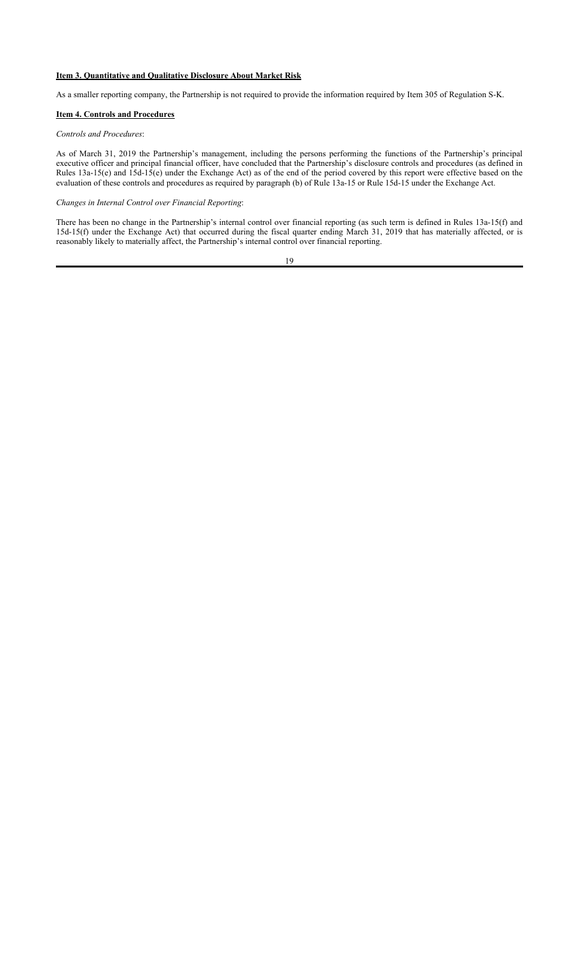#### **Item 3. Quantitative and Qualitative Disclosure About Market Risk**

As a smaller reporting company, the Partnership is not required to provide the information required by Item 305 of Regulation S-K.

#### **Item 4. Controls and Procedures**

#### *Controls and Procedures*:

As of March 31, 2019 the Partnership's management, including the persons performing the functions of the Partnership's principal executive officer and principal financial officer, have concluded that the Partnership's disclosure controls and procedures (as defined in Rules 13a-15(e) and 15d-15(e) under the Exchange Act) as of the end of the period covered by this report were effective based on the evaluation of these controls and procedures as required by paragraph (b) of Rule 13a-15 or Rule 15d-15 under the Exchange Act.

#### *Changes in Internal Control over Financial Reporting*:

There has been no change in the Partnership's internal control over financial reporting (as such term is defined in Rules 13a-15(f) and 15d-15(f) under the Exchange Act) that occurred during the fiscal quarter ending March 31, 2019 that has materially affected, or is reasonably likely to materially affect, the Partnership's internal control over financial reporting.

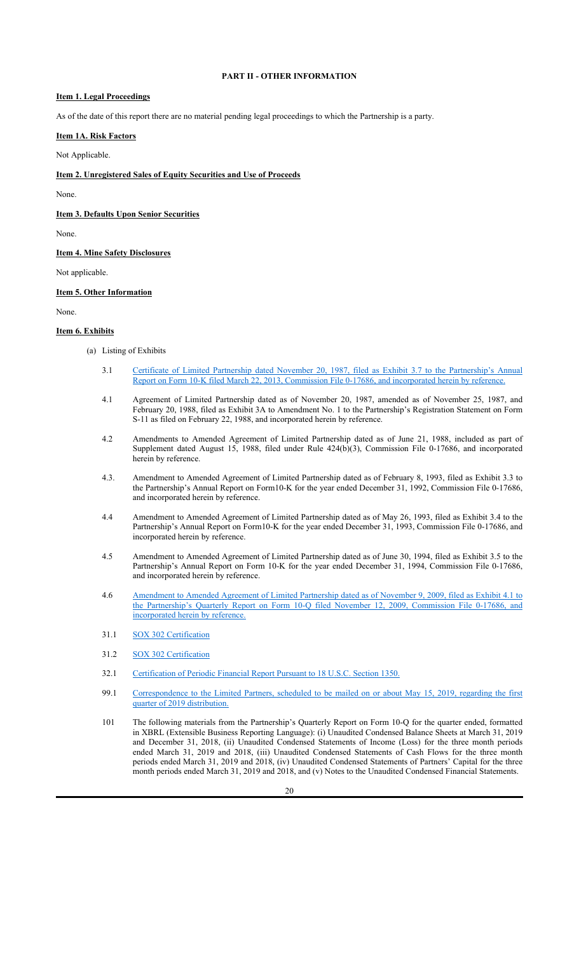#### **PART II - OTHER INFORMATION**

### **Item 1. Legal Proceedings**

As of the date of this report there are no material pending legal proceedings to which the Partnership is a party.

### **Item 1A. Risk Factors**

Not Applicable.

**Item 2. Unregistered Sales of Equity Securities and Use of Proceeds**

None.

#### **Item 3. Defaults Upon Senior Securities**

None.

#### **Item 4. Mine Safety Disclosures**

Not applicable.

#### **Item 5. Other Information**

None.

### **Item 6. Exhibits**

- (a) Listing of Exhibits
	- 3.1 Certificate of Limited Partnership dated November 20, 1987, filed as Exhibit 3.7 to the Partnership's Annual Report on Form 10-K filed March 22, 2013, Commission File 0-17686, and incorporated herein by reference.
	- 4.1 Agreement of Limited Partnership dated as of November 20, 1987, amended as of November 25, 1987, and February 20, 1988, filed as Exhibit 3A to Amendment No. 1 to the Partnership's Registration Statement on Form S-11 as filed on February 22, 1988, and incorporated herein by reference.
	- 4.2 Amendments to Amended Agreement of Limited Partnership dated as of June 21, 1988, included as part of Supplement dated August 15, 1988, filed under Rule  $424(b)(3)$ , Commission File 0-17686, and incorporated herein by reference.
	- 4.3. Amendment to Amended Agreement of Limited Partnership dated as of February 8, 1993, filed as Exhibit 3.3 to the Partnership's Annual Report on Form10-K for the year ended December 31, 1992, Commission File 0-17686, and incorporated herein by reference.
	- 4.4 Amendment to Amended Agreement of Limited Partnership dated as of May 26, 1993, filed as Exhibit 3.4 to the Partnership's Annual Report on Form10-K for the year ended December 31, 1993, Commission File 0-17686, and incorporated herein by reference.
	- 4.5 Amendment to Amended Agreement of Limited Partnership dated as of June 30, 1994, filed as Exhibit 3.5 to the Partnership's Annual Report on Form 10-K for the year ended December 31, 1994, Commission File 0-17686, and incorporated herein by reference.
	- 4.6 Amendment to Amended Agreement of Limited Partnership dated as of November 9, 2009, filed as Exhibit 4.1 to the Partnership's Quarterly Report on Form 10-Q filed November 12, 2009, Commission File 0-17686, and incorporated herein by reference.
	- 31.1 SOX 302 Certification
	- 31.2 SOX 302 Certification
	- 32.1 Certification of Periodic Financial Report Pursuant to 18 U.S.C. Section 1350.
	- 99.1 Correspondence to the Limited Partners, scheduled to be mailed on or about May 15, 2019, regarding the first quarter of 2019 distribution.
	- 101 The following materials from the Partnership's Quarterly Report on Form 10-Q for the quarter ended, formatted in XBRL (Extensible Business Reporting Language): (i) Unaudited Condensed Balance Sheets at March 31, 2019 and December 31, 2018, (ii) Unaudited Condensed Statements of Income (Loss) for the three month periods ended March 31, 2019 and 2018, (iii) Unaudited Condensed Statements of Cash Flows for the three month periods ended March 31, 2019 and 2018, (iv) Unaudited Condensed Statements of Partners' Capital for the three month periods ended March 31, 2019 and 2018, and (v) Notes to the Unaudited Condensed Financial Statements.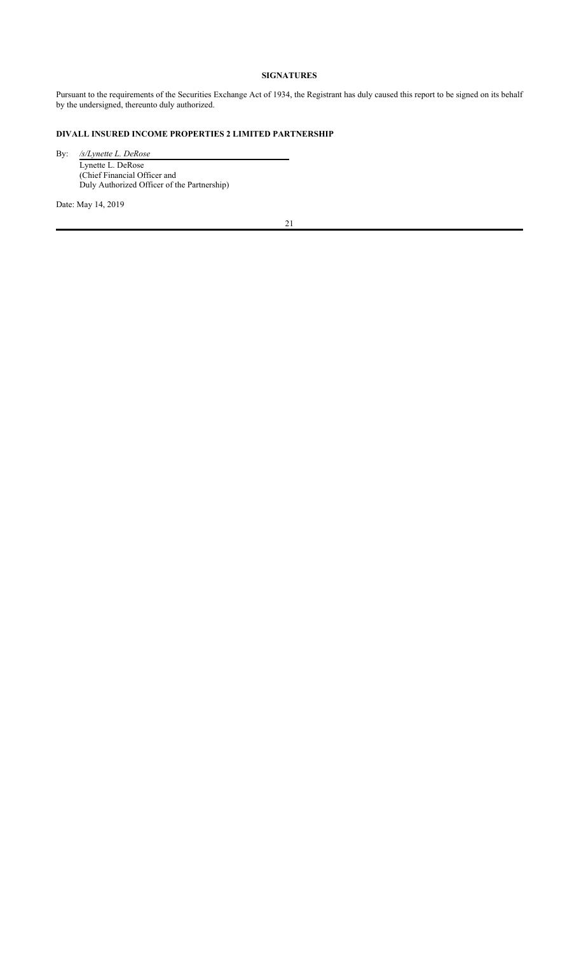# **SIGNATURES**

Pursuant to the requirements of the Securities Exchange Act of 1934, the Registrant has duly caused this report to be signed on its behalf by the undersigned, thereunto duly authorized.

# **DIVALL INSURED INCOME PROPERTIES 2 LIMITED PARTNERSHIP**

By: */s/Lynette L. DeRose* Lynette L. DeRose (Chief Financial Officer and Duly Authorized Officer of the Partnership)

Date: May 14, 2019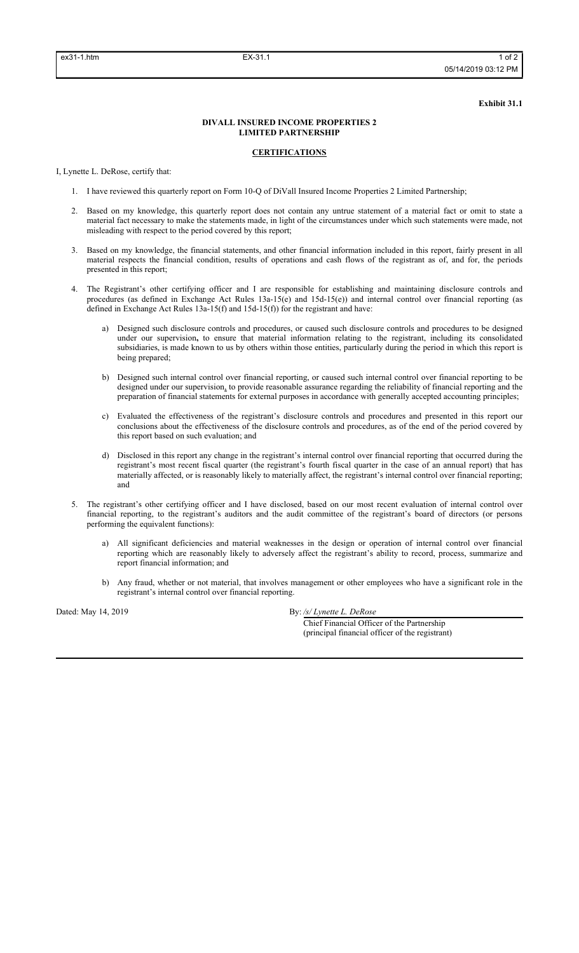#### **Exhibit 31.1**

#### **DIVALL INSURED INCOME PROPERTIES 2 LIMITED PARTNERSHIP**

#### **CERTIFICATIONS**

I, Lynette L. DeRose, certify that:

- 1. I have reviewed this quarterly report on Form 10-Q of DiVall Insured Income Properties 2 Limited Partnership;
- 2. Based on my knowledge, this quarterly report does not contain any untrue statement of a material fact or omit to state a material fact necessary to make the statements made, in light of the circumstances under which such statements were made, not misleading with respect to the period covered by this report;
- 3. Based on my knowledge, the financial statements, and other financial information included in this report, fairly present in all material respects the financial condition, results of operations and cash flows of the registrant as of, and for, the periods presented in this report;
- 4. The Registrant's other certifying officer and I are responsible for establishing and maintaining disclosure controls and procedures (as defined in Exchange Act Rules 13a-15(e) and 15d-15(e)) and internal control over financial reporting (as defined in Exchange Act Rules 13a-15(f) and 15d-15(f)) for the registrant and have:
	- a) Designed such disclosure controls and procedures, or caused such disclosure controls and procedures to be designed under our supervision**,** to ensure that material information relating to the registrant, including its consolidated subsidiaries, is made known to us by others within those entities, particularly during the period in which this report is being prepared;
	- b) Designed such internal control over financial reporting, or caused such internal control over financial reporting to be designed under our supervision, to provide reasonable assurance regarding the reliability of financial reporting and the preparation of financial statements for external purposes in accordance with generally accepted accounting principles;
	- c) Evaluated the effectiveness of the registrant's disclosure controls and procedures and presented in this report our conclusions about the effectiveness of the disclosure controls and procedures, as of the end of the period covered by this report based on such evaluation; and
	- d) Disclosed in this report any change in the registrant's internal control over financial reporting that occurred during the registrant's most recent fiscal quarter (the registrant's fourth fiscal quarter in the case of an annual report) that has materially affected, or is reasonably likely to materially affect, the registrant's internal control over financial reporting; and
- 5. The registrant's other certifying officer and I have disclosed, based on our most recent evaluation of internal control over financial reporting, to the registrant's auditors and the audit committee of the registrant's board of directors (or persons performing the equivalent functions):
	- a) All significant deficiencies and material weaknesses in the design or operation of internal control over financial reporting which are reasonably likely to adversely affect the registrant's ability to record, process, summarize and report financial information; and
	- b) Any fraud, whether or not material, that involves management or other employees who have a significant role in the registrant's internal control over financial reporting.

Dated: May 14, 2019 **By:** */s/ Lynette L. DeRose* 

Chief Financial Officer of the Partnership (principal financial officer of the registrant)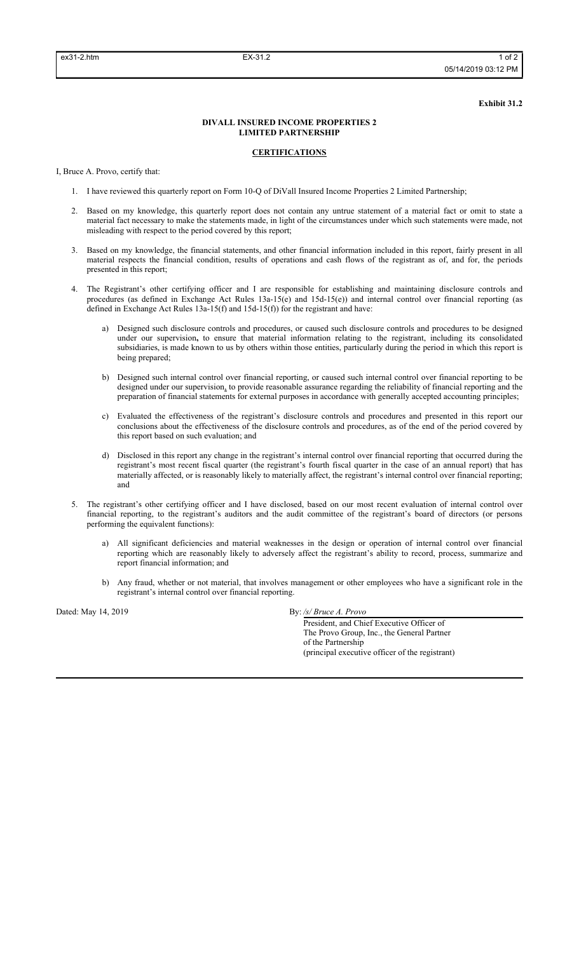#### **Exhibit 31.2**

#### **DIVALL INSURED INCOME PROPERTIES 2 LIMITED PARTNERSHIP**

#### **CERTIFICATIONS**

I, Bruce A. Provo, certify that:

- 1. I have reviewed this quarterly report on Form 10-Q of DiVall Insured Income Properties 2 Limited Partnership;
- 2. Based on my knowledge, this quarterly report does not contain any untrue statement of a material fact or omit to state a material fact necessary to make the statements made, in light of the circumstances under which such statements were made, not misleading with respect to the period covered by this report;
- 3. Based on my knowledge, the financial statements, and other financial information included in this report, fairly present in all material respects the financial condition, results of operations and cash flows of the registrant as of, and for, the periods presented in this report;
- 4. The Registrant's other certifying officer and I are responsible for establishing and maintaining disclosure controls and procedures (as defined in Exchange Act Rules 13a-15(e) and 15d-15(e)) and internal control over financial reporting (as defined in Exchange Act Rules 13a-15(f) and 15d-15(f)) for the registrant and have:
	- a) Designed such disclosure controls and procedures, or caused such disclosure controls and procedures to be designed under our supervision**,** to ensure that material information relating to the registrant, including its consolidated subsidiaries, is made known to us by others within those entities, particularly during the period in which this report is being prepared;
	- b) Designed such internal control over financial reporting, or caused such internal control over financial reporting to be designed under our supervision, to provide reasonable assurance regarding the reliability of financial reporting and the preparation of financial statements for external purposes in accordance with generally accepted accounting principles;
	- c) Evaluated the effectiveness of the registrant's disclosure controls and procedures and presented in this report our conclusions about the effectiveness of the disclosure controls and procedures, as of the end of the period covered by this report based on such evaluation; and
	- d) Disclosed in this report any change in the registrant's internal control over financial reporting that occurred during the registrant's most recent fiscal quarter (the registrant's fourth fiscal quarter in the case of an annual report) that has materially affected, or is reasonably likely to materially affect, the registrant's internal control over financial reporting; and
- 5. The registrant's other certifying officer and I have disclosed, based on our most recent evaluation of internal control over financial reporting, to the registrant's auditors and the audit committee of the registrant's board of directors (or persons performing the equivalent functions):
	- a) All significant deficiencies and material weaknesses in the design or operation of internal control over financial reporting which are reasonably likely to adversely affect the registrant's ability to record, process, summarize and report financial information; and
	- b) Any fraud, whether or not material, that involves management or other employees who have a significant role in the registrant's internal control over financial reporting.

Dated: May 14, 2019 **By:** */s/ Bruce A. Provo* 

President, and Chief Executive Officer of The Provo Group, Inc., the General Partner of the Partnership (principal executive officer of the registrant)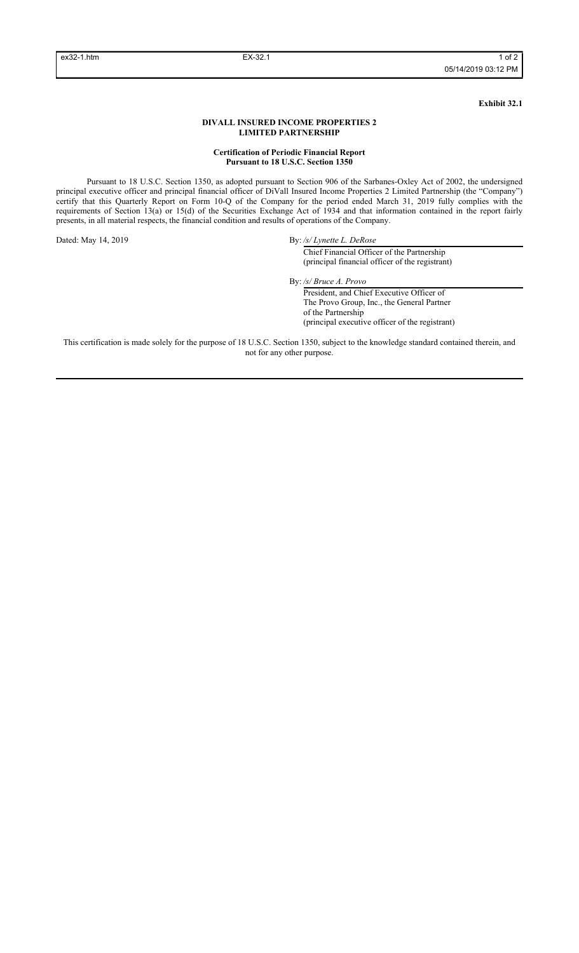**Exhibit 32.1**

#### **DIVALL INSURED INCOME PROPERTIES 2 LIMITED PARTNERSHIP**

#### **Certification of Periodic Financial Report Pursuant to 18 U.S.C. Section 1350**

Pursuant to 18 U.S.C. Section 1350, as adopted pursuant to Section 906 of the Sarbanes-Oxley Act of 2002, the undersigned principal executive officer and principal financial officer of DiVall Insured Income Properties 2 Limited Partnership (the "Company") certify that this Quarterly Report on Form 10-Q of the Company for the period ended March 31, 2019 fully complies with the requirements of Section 13(a) or 15(d) of the Securities Exchange Act of 1934 and that information contained in the report fairly presents, in all material respects, the financial condition and results of operations of the Company.

Dated: May 14, 2019 By: */s/ Lynette L. DeRose*

Chief Financial Officer of the Partnership (principal financial officer of the registrant)

By: */s/ Bruce A. Provo*

President, and Chief Executive Officer of The Provo Group, Inc., the General Partner of the Partnership (principal executive officer of the registrant)

This certification is made solely for the purpose of 18 U.S.C. Section 1350, subject to the knowledge standard contained therein, and not for any other purpose.